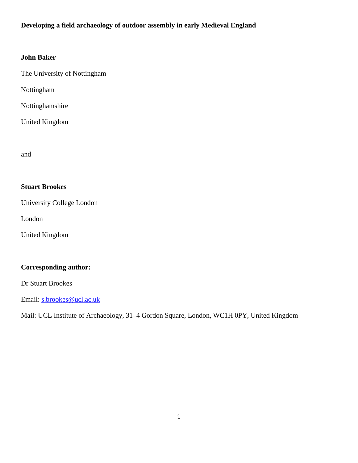# **Developing a field archaeology of outdoor assembly in early Medieval England**

## **John Baker**

The University of Nottingham

Nottingham

Nottinghamshire

United Kingdom

and

# **Stuart Brookes**

University College London

London

United Kingdom

# **Corresponding author:**

Dr Stuart Brookes

Email: [s.brookes@ucl.ac.uk](mailto:s.brookes@ucl.ac.uk)

Mail: UCL Institute of Archaeology, 31–4 Gordon Square, London, WC1H 0PY, United Kingdom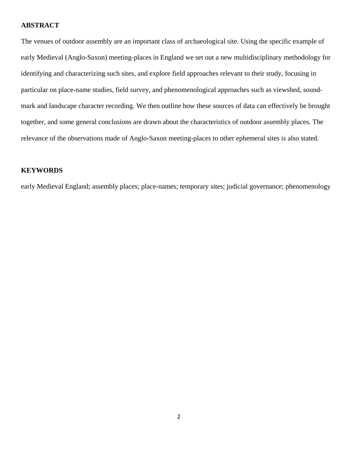#### **ABSTRACT**

The venues of outdoor assembly are an important class of archaeological site. Using the specific example of early Medieval (Anglo-Saxon) meeting-places in England we set out a new multidisciplinary methodology for identifying and characterizing such sites, and explore field approaches relevant to their study, focusing in particular on place-name studies, field survey, and phenomenological approaches such as viewshed, soundmark and landscape character recording. We then outline how these sources of data can effectively be brought together, and some general conclusions are drawn about the characteristics of outdoor assembly places. The relevance of the observations made of Anglo-Saxon meeting-places to other ephemeral sites is also stated.

## **KEYWORDS**

early Medieval England; assembly places; place-names; temporary sites; judicial governance; phenomenology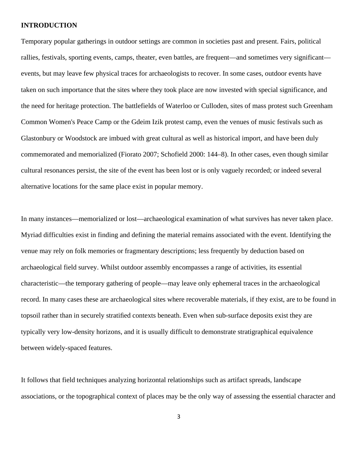#### **INTRODUCTION**

Temporary popular gatherings in outdoor settings are common in societies past and present. Fairs, political rallies, festivals, sporting events, camps, theater, even battles, are frequent—and sometimes very significant events, but may leave few physical traces for archaeologists to recover. In some cases, outdoor events have taken on such importance that the sites where they took place are now invested with special significance, and the need for heritage protection. The battlefields of Waterloo or Culloden, sites of mass protest such Greenham Common Women's Peace Camp or the Gdeim Izik protest camp, even the venues of music festivals such as Glastonbury or Woodstock are imbued with great cultural as well as historical import, and have been duly commemorated and memorialized (Fiorato 2007; Schofield 2000: 144–8). In other cases, even though similar cultural resonances persist, the site of the event has been lost or is only vaguely recorded; or indeed several alternative locations for the same place exist in popular memory.

In many instances—memorialized or lost—archaeological examination of what survives has never taken place. Myriad difficulties exist in finding and defining the material remains associated with the event. Identifying the venue may rely on folk memories or fragmentary descriptions; less frequently by deduction based on archaeological field survey. Whilst outdoor assembly encompasses a range of activities, its essential characteristic—the temporary gathering of people—may leave only ephemeral traces in the archaeological record. In many cases these are archaeological sites where recoverable materials, if they exist, are to be found in topsoil rather than in securely stratified contexts beneath. Even when sub-surface deposits exist they are typically very low-density horizons, and it is usually difficult to demonstrate stratigraphical equivalence between widely-spaced features.

It follows that field techniques analyzing horizontal relationships such as artifact spreads, landscape associations, or the topographical context of places may be the only way of assessing the essential character and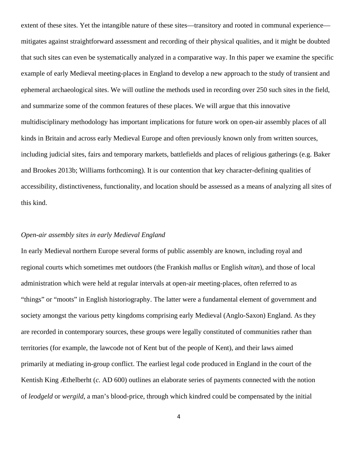extent of these sites. Yet the intangible nature of these sites—transitory and rooted in communal experience mitigates against straightforward assessment and recording of their physical qualities, and it might be doubted that such sites can even be systematically analyzed in a comparative way. In this paper we examine the specific example of early Medieval meeting-places in England to develop a new approach to the study of transient and ephemeral archaeological sites. We will outline the methods used in recording over 250 such sites in the field, and summarize some of the common features of these places. We will argue that this innovative multidisciplinary methodology has important implications for future work on open-air assembly places of all kinds in Britain and across early Medieval Europe and often previously known only from written sources, including judicial sites, fairs and temporary markets, battlefields and places of religious gatherings (e.g. Baker and Brookes 2013b; Williams forthcoming). It is our contention that key character-defining qualities of accessibility, distinctiveness, functionality, and location should be assessed as a means of analyzing all sites of this kind.

## *Open-air assembly sites in early Medieval England*

In early Medieval northern Europe several forms of public assembly are known, including royal and regional courts which sometimes met outdoors (the Frankish *mallus* or English *witan*), and those of local administration which were held at regular intervals at open-air meeting-places, often referred to as "things" or "moots" in English historiography. The latter were a fundamental element of government and society amongst the various petty kingdoms comprising early Medieval (Anglo-Saxon) England. As they are recorded in contemporary sources, these groups were legally constituted of communities rather than territories (for example, the lawcode not of Kent but of the people of Kent), and their laws aimed primarily at mediating in-group conflict. The earliest legal code produced in England in the court of the Kentish King Æthelberht (*c.* AD 600) outlines an elaborate series of payments connected with the notion of *leodgeld* or *wergild*, a man's blood-price, through which kindred could be compensated by the initial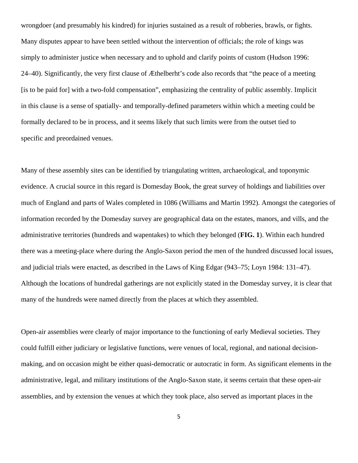wrongdoer (and presumably his kindred) for injuries sustained as a result of robberies, brawls, or fights. Many disputes appear to have been settled without the intervention of officials; the role of kings was simply to administer justice when necessary and to uphold and clarify points of custom (Hudson 1996: 24–40). Significantly, the very first clause of Æthelberht's code also records that "the peace of a meeting [is to be paid for] with a two-fold compensation", emphasizing the centrality of public assembly. Implicit in this clause is a sense of spatially- and temporally-defined parameters within which a meeting could be formally declared to be in process, and it seems likely that such limits were from the outset tied to specific and preordained venues.

Many of these assembly sites can be identified by triangulating written, archaeological, and toponymic evidence. A crucial source in this regard is Domesday Book, the great survey of holdings and liabilities over much of England and parts of Wales completed in 1086 (Williams and Martin 1992). Amongst the categories of information recorded by the Domesday survey are geographical data on the estates, manors, and vills, and the administrative territories (hundreds and wapentakes) to which they belonged (**FIG. 1**). Within each hundred there was a meeting-place where during the Anglo-Saxon period the men of the hundred discussed local issues, and judicial trials were enacted, as described in the Laws of King Edgar (943–75; Loyn 1984: 131–47). Although the locations of hundredal gatherings are not explicitly stated in the Domesday survey, it is clear that many of the hundreds were named directly from the places at which they assembled.

Open-air assemblies were clearly of major importance to the functioning of early Medieval societies. They could fulfill either judiciary or legislative functions, were venues of local, regional, and national decisionmaking, and on occasion might be either quasi-democratic or autocratic in form. As significant elements in the administrative, legal, and military institutions of the Anglo-Saxon state, it seems certain that these open-air assemblies, and by extension the venues at which they took place, also served as important places in the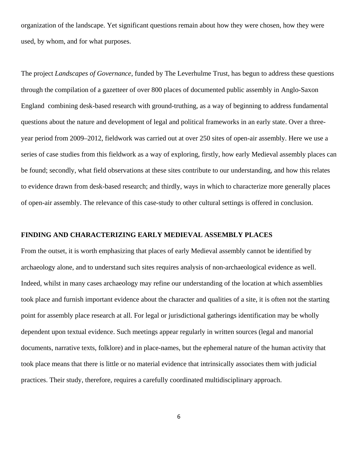organization of the landscape. Yet significant questions remain about how they were chosen, how they were used, by whom, and for what purposes.

The project *Landscapes of Governance*, funded by The Leverhulme Trust, has begun to address these questions through the compilation of a gazetteer of over 800 places of documented public assembly in Anglo-Saxon England combining desk-based research with ground-truthing, as a way of beginning to address fundamental questions about the nature and development of legal and political frameworks in an early state. Over a threeyear period from 2009–2012, fieldwork was carried out at over 250 sites of open-air assembly. Here we use a series of case studies from this fieldwork as a way of exploring, firstly, how early Medieval assembly places can be found; secondly, what field observations at these sites contribute to our understanding, and how this relates to evidence drawn from desk-based research; and thirdly, ways in which to characterize more generally places of open-air assembly. The relevance of this case-study to other cultural settings is offered in conclusion.

## **FINDING AND CHARACTERIZING EARLY MEDIEVAL ASSEMBLY PLACES**

From the outset, it is worth emphasizing that places of early Medieval assembly cannot be identified by archaeology alone, and to understand such sites requires analysis of non-archaeological evidence as well. Indeed, whilst in many cases archaeology may refine our understanding of the location at which assemblies took place and furnish important evidence about the character and qualities of a site, it is often not the starting point for assembly place research at all. For legal or jurisdictional gatherings identification may be wholly dependent upon textual evidence. Such meetings appear regularly in written sources (legal and manorial documents, narrative texts, folklore) and in place-names, but the ephemeral nature of the human activity that took place means that there is little or no material evidence that intrinsically associates them with judicial practices. Their study, therefore, requires a carefully coordinated multidisciplinary approach.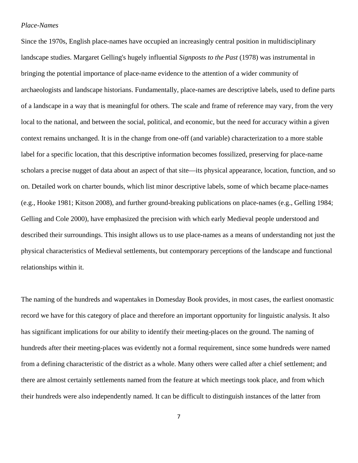## *Place-Names*

Since the 1970s, English place-names have occupied an increasingly central position in multidisciplinary landscape studies. Margaret Gelling's hugely influential *Signposts to the Past* (1978) was instrumental in bringing the potential importance of place-name evidence to the attention of a wider community of archaeologists and landscape historians. Fundamentally, place-names are descriptive labels, used to define parts of a landscape in a way that is meaningful for others. The scale and frame of reference may vary, from the very local to the national, and between the social, political, and economic, but the need for accuracy within a given context remains unchanged. It is in the change from one-off (and variable) characterization to a more stable label for a specific location, that this descriptive information becomes fossilized, preserving for place-name scholars a precise nugget of data about an aspect of that site—its physical appearance, location, function, and so on. Detailed work on charter bounds, which list minor descriptive labels, some of which became place-names (e.g., Hooke 1981; Kitson 2008), and further ground-breaking publications on place-names (e.g., Gelling 1984; Gelling and Cole 2000), have emphasized the precision with which early Medieval people understood and described their surroundings. This insight allows us to use place-names as a means of understanding not just the physical characteristics of Medieval settlements, but contemporary perceptions of the landscape and functional relationships within it.

The naming of the hundreds and wapentakes in Domesday Book provides, in most cases, the earliest onomastic record we have for this category of place and therefore an important opportunity for linguistic analysis. It also has significant implications for our ability to identify their meeting-places on the ground. The naming of hundreds after their meeting-places was evidently not a formal requirement, since some hundreds were named from a defining characteristic of the district as a whole. Many others were called after a chief settlement; and there are almost certainly settlements named from the feature at which meetings took place, and from which their hundreds were also independently named. It can be difficult to distinguish instances of the latter from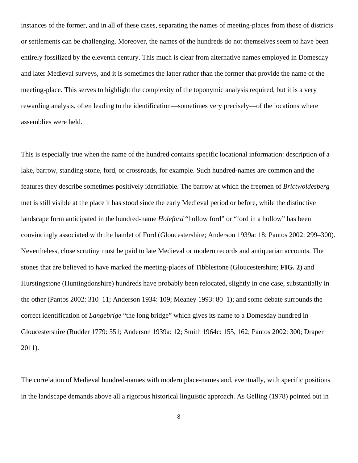instances of the former, and in all of these cases, separating the names of meeting-places from those of districts or settlements can be challenging. Moreover, the names of the hundreds do not themselves seem to have been entirely fossilized by the eleventh century. This much is clear from alternative names employed in Domesday and later Medieval surveys, and it is sometimes the latter rather than the former that provide the name of the meeting-place. This serves to highlight the complexity of the toponymic analysis required, but it is a very rewarding analysis, often leading to the identification—sometimes very precisely—of the locations where assemblies were held.

This is especially true when the name of the hundred contains specific locational information: description of a lake, barrow, standing stone, ford, or crossroads, for example. Such hundred-names are common and the features they describe sometimes positively identifiable. The barrow at which the freemen of *Brictwoldesberg* met is still visible at the place it has stood since the early Medieval period or before, while the distinctive landscape form anticipated in the hundred-name *Holeford* "hollow ford" or "ford in a hollow" has been convincingly associated with the hamlet of Ford (Gloucestershire; Anderson 1939a: 18; Pantos 2002: 299–300). Nevertheless, close scrutiny must be paid to late Medieval or modern records and antiquarian accounts. The stones that are believed to have marked the meeting-places of Tibblestone (Gloucestershire; **FIG. 2**) and Hurstingstone (Huntingdonshire) hundreds have probably been relocated, slightly in one case, substantially in the other (Pantos 2002: 310–11; Anderson 1934: 109; Meaney 1993: 80–1); and some debate surrounds the correct identification of *Langebrige* "the long bridge" which gives its name to a Domesday hundred in Gloucestershire (Rudder 1779: 551; Anderson 1939a: 12; Smith 1964c: 155, 162; Pantos 2002: 300; Draper 2011).

The correlation of Medieval hundred-names with modern place-names and, eventually, with specific positions in the landscape demands above all a rigorous historical linguistic approach. As Gelling (1978) pointed out in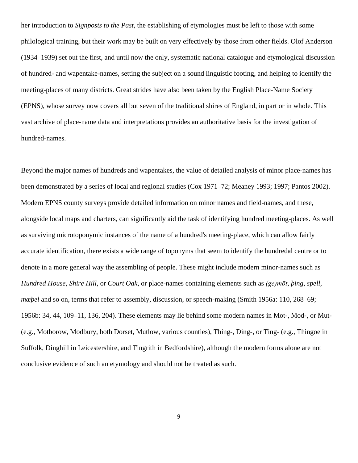her introduction to *Signposts to the Past*, the establishing of etymologies must be left to those with some philological training, but their work may be built on very effectively by those from other fields. Olof Anderson (1934–1939) set out the first, and until now the only, systematic national catalogue and etymological discussion of hundred- and wapentake-names, setting the subject on a sound linguistic footing, and helping to identify the meeting-places of many districts. Great strides have also been taken by the English Place-Name Society (EPNS), whose survey now covers all but seven of the traditional shires of England, in part or in whole. This vast archive of place-name data and interpretations provides an authoritative basis for the investigation of hundred-names.

Beyond the major names of hundreds and wapentakes, the value of detailed analysis of minor place-names has been demonstrated by a series of local and regional studies (Cox 1971–72; Meaney 1993; 1997; Pantos 2002). Modern EPNS county surveys provide detailed information on minor names and field-names, and these, alongside local maps and charters, can significantly aid the task of identifying hundred meeting-places. As well as surviving microtoponymic instances of the name of a hundred's meeting-place, which can allow fairly accurate identification, there exists a wide range of toponyms that seem to identify the hundredal centre or to denote in a more general way the assembling of people. These might include modern minor-names such as *Hundred House*, *Shire Hill*, or *Court Oak*, or place-names containing elements such as *(ge)mōt*, *þing*, *spell*, *mæþel* and so on, terms that refer to assembly, discussion, or speech-making (Smith 1956a: 110, 268–69; 1956b: 34, 44, 109–11, 136, 204). These elements may lie behind some modern names in Mot-, Mod-, or Mut- (e.g., Motborow, Modbury, both Dorset, Mutlow, various counties), Thing-, Ding-, or Ting- (e.g., Thingoe in Suffolk, Dinghill in Leicestershire, and Tingrith in Bedfordshire), although the modern forms alone are not conclusive evidence of such an etymology and should not be treated as such.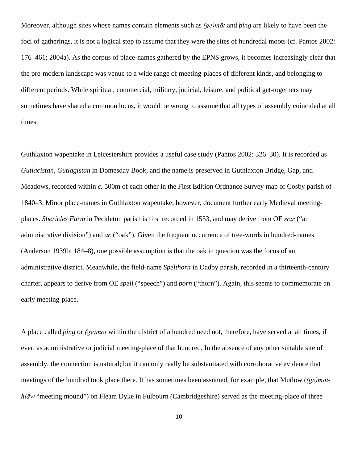Moreover, although sites whose names contain elements such as *(ge)mōt* and *þing* are likely to have been the foci of gatherings, it is not a logical step to assume that they were the sites of hundredal moots (cf. Pantos 2002: 176–461; 2004a). As the corpus of place-names gathered by the EPNS grows, it becomes increasingly clear that the pre-modern landscape was venue to a wide range of meeting-places of different kinds, and belonging to different periods. While spiritual, commercial, military, judicial, leisure, and political get-togethers may sometimes have shared a common locus, it would be wrong to assume that all types of assembly coincided at all times.

Guthlaxton wapentake in Leicestershire provides a useful case study (Pantos 2002: 326–30). It is recorded as *Gutlacistan, Gutlagistan* in Domesday Book, and the name is preserved in Guthlaxton Bridge, Gap, and Meadows, recorded within *c.* 500m of each other in the First Edition Ordnance Survey map of Cosby parish of 1840–3. Minor place-names in Guthlaxton wapentake, however, document further early Medieval meetingplaces. *Shericles Farm* in Peckleton parish is first recorded in 1553, and may derive from OE *scīr* ("an administrative division") and *āc* ("oak"). Given the frequent occurrence of tree-words in hundred-names (Anderson 1939b: 184–8), one possible assumption is that the oak in question was the focus of an administrative district. Meanwhile, the field-name *Spelthorn* in Oadby parish, recorded in a thirteenth-century charter, appears to derive from OE *spell* ("speech") and *þorn* ("thorn"). Again, this seems to commemorate an early meeting-place.

A place called *þing* or *(ge)mōt* within the district of a hundred need not, therefore, have served at all times, if ever, as administrative or judicial meeting-place of that hundred. In the absence of any other suitable site of assembly, the connection is natural; but it can only really be substantiated with corroborative evidence that meetings of the hundred took place there. It has sometimes been assumed, for example, that Mutlow (*(ge)mōthlāw* "meeting mound") on Fleam Dyke in Fulbourn (Cambridgeshire) served as the meeting-place of three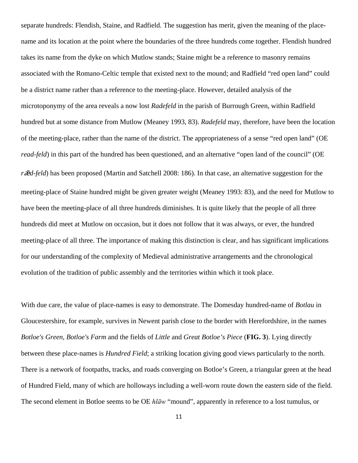separate hundreds: Flendish, Staine, and Radfield. The suggestion has merit, given the meaning of the placename and its location at the point where the boundaries of the three hundreds come together. Flendish hundred takes its name from the dyke on which Mutlow stands; Staine might be a reference to masonry remains associated with the Romano-Celtic temple that existed next to the mound; and Radfield "red open land" could be a district name rather than a reference to the meeting-place. However, detailed analysis of the microtoponymy of the area reveals a now lost *Radefeld* in the parish of Burrough Green, within Radfield hundred but at some distance from Mutlow (Meaney 1993, 83). *Radefeld* may, therefore, have been the location of the meeting-place, rather than the name of the district. The appropriateness of a sense "red open land" (OE *read-feld*) in this part of the hundred has been questioned, and an alternative "open land of the council" (OE *r* $\bar{\mathbf{z}}$ *d-feld*) has been proposed (Martin and Satchell 2008: 186). In that case, an alternative suggestion for the meeting-place of Staine hundred might be given greater weight (Meaney 1993: 83), and the need for Mutlow to have been the meeting-place of all three hundreds diminishes. It is quite likely that the people of all three hundreds did meet at Mutlow on occasion, but it does not follow that it was always, or ever, the hundred meeting-place of all three. The importance of making this distinction is clear, and has significant implications for our understanding of the complexity of Medieval administrative arrangements and the chronological evolution of the tradition of public assembly and the territories within which it took place.

With due care, the value of place-names is easy to demonstrate. The Domesday hundred-name of *Botlau* in Gloucestershire, for example, survives in Newent parish close to the border with Herefordshire, in the names *Botloe's Green, Botloe's Farm* and the fields of *Little* and *Great Botloe's Piece* (**FIG. 3**). Lying directly between these place-names is *Hundred Field*; a striking location giving good views particularly to the north. There is a network of footpaths, tracks, and roads converging on Botloe's Green, a triangular green at the head of Hundred Field, many of which are holloways including a well-worn route down the eastern side of the field. The second element in Botloe seems to be OE *hlāw* "mound", apparently in reference to a lost tumulus, or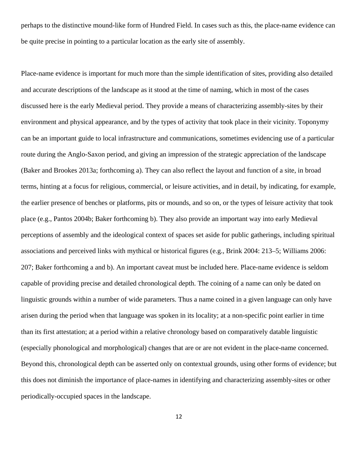perhaps to the distinctive mound-like form of Hundred Field. In cases such as this, the place-name evidence can be quite precise in pointing to a particular location as the early site of assembly.

Place-name evidence is important for much more than the simple identification of sites, providing also detailed and accurate descriptions of the landscape as it stood at the time of naming, which in most of the cases discussed here is the early Medieval period. They provide a means of characterizing assembly-sites by their environment and physical appearance, and by the types of activity that took place in their vicinity. Toponymy can be an important guide to local infrastructure and communications, sometimes evidencing use of a particular route during the Anglo-Saxon period, and giving an impression of the strategic appreciation of the landscape (Baker and Brookes 2013a; forthcoming a). They can also reflect the layout and function of a site, in broad terms, hinting at a focus for religious, commercial, or leisure activities, and in detail, by indicating, for example, the earlier presence of benches or platforms, pits or mounds, and so on, or the types of leisure activity that took place (e.g., Pantos 2004b; Baker forthcoming b). They also provide an important way into early Medieval perceptions of assembly and the ideological context of spaces set aside for public gatherings, including spiritual associations and perceived links with mythical or historical figures (e.g., Brink 2004: 213–5; Williams 2006: 207; Baker forthcoming a and b). An important caveat must be included here. Place-name evidence is seldom capable of providing precise and detailed chronological depth. The coining of a name can only be dated on linguistic grounds within a number of wide parameters. Thus a name coined in a given language can only have arisen during the period when that language was spoken in its locality; at a non-specific point earlier in time than its first attestation; at a period within a relative chronology based on comparatively datable linguistic (especially phonological and morphological) changes that are or are not evident in the place-name concerned. Beyond this, chronological depth can be asserted only on contextual grounds, using other forms of evidence; but this does not diminish the importance of place-names in identifying and characterizing assembly-sites or other periodically-occupied spaces in the landscape.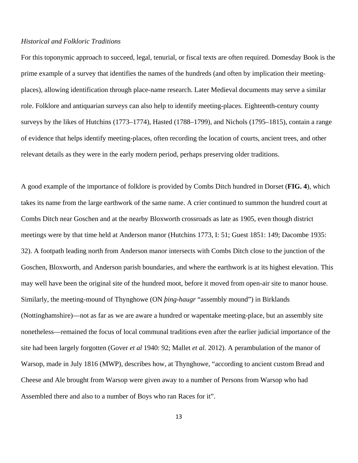#### *Historical and Folkloric Traditions*

For this toponymic approach to succeed, legal, tenurial, or fiscal texts are often required. Domesday Book is the prime example of a survey that identifies the names of the hundreds (and often by implication their meetingplaces), allowing identification through place-name research. Later Medieval documents may serve a similar role. Folklore and antiquarian surveys can also help to identify meeting-places. Eighteenth-century county surveys by the likes of Hutchins (1773–1774), Hasted (1788–1799), and Nichols (1795–1815), contain a range of evidence that helps identify meeting-places, often recording the location of courts, ancient trees, and other relevant details as they were in the early modern period, perhaps preserving older traditions.

A good example of the importance of folklore is provided by Combs Ditch hundred in Dorset (**FIG. 4**), which takes its name from the large earthwork of the same name. A crier continued to summon the hundred court at Combs Ditch near Goschen and at the nearby Bloxworth crossroads as late as 1905, even though district meetings were by that time held at Anderson manor (Hutchins 1773, I: 51; Guest 1851: 149; Dacombe 1935: 32). A footpath leading north from Anderson manor intersects with Combs Ditch close to the junction of the Goschen, Bloxworth, and Anderson parish boundaries, and where the earthwork is at its highest elevation. This may well have been the original site of the hundred moot, before it moved from open-air site to manor house. Similarly, the meeting-mound of Thynghowe (ON *þing-haugr* "assembly mound") in Birklands (Nottinghamshire)—not as far as we are aware a hundred or wapentake meeting-place, but an assembly site nonetheless—remained the focus of local communal traditions even after the earlier judicial importance of the site had been largely forgotten (Gover *et al* 1940: 92; Mallet *et al.* 2012). A perambulation of the manor of Warsop, made in July 1816 (MWP), describes how, at Thynghowe, "according to ancient custom Bread and Cheese and Ale brought from Warsop were given away to a number of Persons from Warsop who had Assembled there and also to a number of Boys who ran Races for it".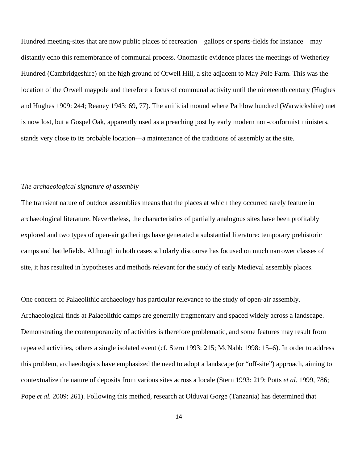Hundred meeting-sites that are now public places of recreation—gallops or sports-fields for instance—may distantly echo this remembrance of communal process. Onomastic evidence places the meetings of Wetherley Hundred (Cambridgeshire) on the high ground of Orwell Hill, a site adjacent to May Pole Farm. This was the location of the Orwell maypole and therefore a focus of communal activity until the nineteenth century (Hughes and Hughes 1909: 244; Reaney 1943: 69, 77). The artificial mound where Pathlow hundred (Warwickshire) met is now lost, but a Gospel Oak, apparently used as a preaching post by early modern non-conformist ministers, stands very close to its probable location—a maintenance of the traditions of assembly at the site.

### *The archaeological signature of assembly*

The transient nature of outdoor assemblies means that the places at which they occurred rarely feature in archaeological literature. Nevertheless, the characteristics of partially analogous sites have been profitably explored and two types of open-air gatherings have generated a substantial literature: temporary prehistoric camps and battlefields. Although in both cases scholarly discourse has focused on much narrower classes of site, it has resulted in hypotheses and methods relevant for the study of early Medieval assembly places.

One concern of Palaeolithic archaeology has particular relevance to the study of open-air assembly. Archaeological finds at Palaeolithic camps are generally fragmentary and spaced widely across a landscape. Demonstrating the contemporaneity of activities is therefore problematic, and some features may result from repeated activities, others a single isolated event (cf. Stern 1993: 215; McNabb 1998: 15–6). In order to address this problem, archaeologists have emphasized the need to adopt a landscape (or "off-site") approach, aiming to contextualize the nature of deposits from various sites across a locale (Stern 1993: 219; Potts *et al.* 1999, 786; Pope *et al.* 2009: 261). Following this method, research at Olduvai Gorge (Tanzania) has determined that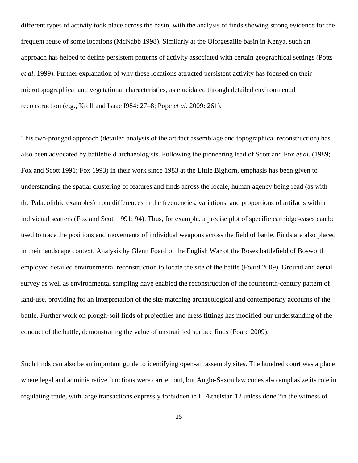different types of activity took place across the basin, with the analysis of finds showing strong evidence for the frequent reuse of some locations (McNabb 1998). Similarly at the Olorgesailie basin in Kenya, such an approach has helped to define persistent patterns of activity associated with certain geographical settings (Potts *et al.* 1999). Further explanation of why these locations attracted persistent activity has focused on their microtopographical and vegetational characteristics, as elucidated through detailed environmental reconstruction (e.g., Kroll and Isaac I984: 27–8; Pope *et al.* 2009: 261).

This two-pronged approach (detailed analysis of the artifact assemblage and topographical reconstruction) has also been advocated by battlefield archaeologists. Following the pioneering lead of Scott and Fox *et al.* (1989; Fox and Scott 1991; Fox 1993) in their work since 1983 at the Little Bighorn, emphasis has been given to understanding the spatial clustering of features and finds across the locale, human agency being read (as with the Palaeolithic examples) from differences in the frequencies, variations, and proportions of artifacts within individual scatters (Fox and Scott 1991: 94). Thus, for example, a precise plot of specific cartridge-cases can be used to trace the positions and movements of individual weapons across the field of battle. Finds are also placed in their landscape context. Analysis by Glenn Foard of the English War of the Roses battlefield of Bosworth employed detailed environmental reconstruction to locate the site of the battle (Foard 2009). Ground and aerial survey as well as environmental sampling have enabled the reconstruction of the fourteenth-century pattern of land-use, providing for an interpretation of the site matching archaeological and contemporary accounts of the battle. Further work on plough-soil finds of projectiles and dress fittings has modified our understanding of the conduct of the battle, demonstrating the value of unstratified surface finds (Foard 2009).

Such finds can also be an important guide to identifying open-air assembly sites. The hundred court was a place where legal and administrative functions were carried out, but Anglo-Saxon law codes also emphasize its role in regulating trade, with large transactions expressly forbidden in II Æthelstan 12 unless done "in the witness of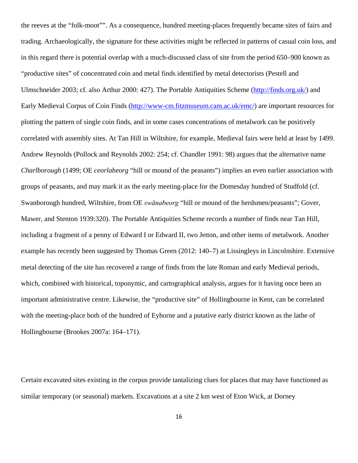the reeves at the "folk-moot"". As a consequence, hundred meeting-places frequently became sites of fairs and trading. Archaeologically, the signature for these activities might be reflected in patterns of casual coin loss, and in this regard there is potential overlap with a much-discussed class of site from the period 650–900 known as "productive sites" of concentrated coin and metal finds identified by metal detectorists (Pestell and Ulmschneider 2003; cf. also Arthur 2000: 427). The Portable Antiquities Scheme [\(http://finds.org.uk/\)](http://finds.org.uk/) and Early Medieval Corpus of Coin Finds [\(http://www-cm.fitzmuseum.cam.ac.uk/emc/\)](http://www-cm.fitzmuseum.cam.ac.uk/emc/) are important resources for plotting the pattern of single coin finds, and in some cases concentrations of metalwork can be positively correlated with assembly sites. At Tan Hill in Wiltshire, for example, Medieval fairs were held at least by 1499. Andrew Reynolds (Pollock and Reynolds 2002: 254; cf. Chandler 1991: 98) argues that the alternative name *Charlborough* (1499; OE *ceorlabeorg* "hill or mound of the peasants") implies an even earlier association with groups of peasants, and may mark it as the early meeting-place for the Domesday hundred of Studfold (cf. Swanborough hundred, Wiltshire, from OE *swānabeorg* "hill or mound of the herdsmen/peasants"; Gover, Mawer, and Stenton 1939:320). The Portable Antiquities Scheme records a number of finds near Tan Hill, including a fragment of a penny of Edward I or Edward II, two Jetton, and other items of metalwork. Another example has recently been suggested by Thomas Green (2012: 140–7) at Lissingleys in Lincolnshire. Extensive metal detecting of the site has recovered a range of finds from the late Roman and early Medieval periods, which, combined with historical, toponymic, and cartographical analysis, argues for it having once been an important administrative centre. Likewise, the "productive site" of Hollingbourne in Kent, can be correlated with the meeting-place both of the hundred of Eyhorne and a putative early district known as the lathe of Hollingbourne (Brookes 2007a: 164–171).

Certain excavated sites existing in the corpus provide tantalizing clues for places that may have functioned as similar temporary (or seasonal) markets. Excavations at a site 2 km west of Eton Wick, at Dorney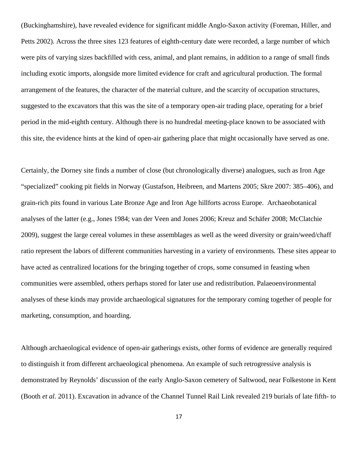(Buckinghamshire), have revealed evidence for significant middle Anglo-Saxon activity (Foreman, Hiller, and Petts 2002). Across the three sites 123 features of eighth-century date were recorded, a large number of which were pits of varying sizes backfilled with cess, animal, and plant remains, in addition to a range of small finds including exotic imports, alongside more limited evidence for craft and agricultural production. The formal arrangement of the features, the character of the material culture, and the scarcity of occupation structures, suggested to the excavators that this was the site of a temporary open-air trading place, operating for a brief period in the mid-eighth century. Although there is no hundredal meeting-place known to be associated with this site, the evidence hints at the kind of open-air gathering place that might occasionally have served as one.

Certainly, the Dorney site finds a number of close (but chronologically diverse) analogues, such as Iron Age "specialized" cooking pit fields in Norway (Gustafson, Heibreen, and Martens 2005; Skre 2007: 385–406), and grain-rich pits found in various Late Bronze Age and Iron Age hillforts across Europe. Archaeobotanical analyses of the latter (e.g., Jones 1984; van der Veen and Jones 2006; Kreuz and Schäfer 2008; McClatchie 2009), suggest the large cereal volumes in these assemblages as well as the weed diversity or grain/weed/chaff ratio represent the labors of different communities harvesting in a variety of environments. These sites appear to have acted as centralized locations for the bringing together of crops, some consumed in feasting when communities were assembled, others perhaps stored for later use and redistribution. Palaeoenvironmental analyses of these kinds may provide archaeological signatures for the temporary coming together of people for marketing, consumption, and hoarding.

Although archaeological evidence of open-air gatherings exists, other forms of evidence are generally required to distinguish it from different archaeological phenomena. An example of such retrogressive analysis is demonstrated by Reynolds' discussion of the early Anglo-Saxon cemetery of Saltwood, near Folkestone in Kent (Booth *et al.* 2011). Excavation in advance of the Channel Tunnel Rail Link revealed 219 burials of late fifth- to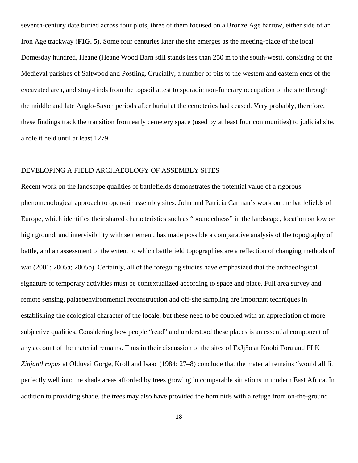seventh-century date buried across four plots, three of them focused on a Bronze Age barrow, either side of an Iron Age trackway (**FIG. 5**). Some four centuries later the site emerges as the meeting-place of the local Domesday hundred, Heane (Heane Wood Barn still stands less than 250 m to the south-west), consisting of the Medieval parishes of Saltwood and Postling. Crucially, a number of pits to the western and eastern ends of the excavated area, and stray-finds from the topsoil attest to sporadic non-funerary occupation of the site through the middle and late Anglo-Saxon periods after burial at the cemeteries had ceased. Very probably, therefore, these findings track the transition from early cemetery space (used by at least four communities) to judicial site, a role it held until at least 1279.

## DEVELOPING A FIELD ARCHAEOLOGY OF ASSEMBLY SITES

Recent work on the landscape qualities of battlefields demonstrates the potential value of a rigorous phenomenological approach to open-air assembly sites. John and Patricia Carman's work on the battlefields of Europe, which identifies their shared characteristics such as "boundedness" in the landscape, location on low or high ground, and intervisibility with settlement, has made possible a comparative analysis of the topography of battle, and an assessment of the extent to which battlefield topographies are a reflection of changing methods of war (2001; 2005a; 2005b). Certainly, all of the foregoing studies have emphasized that the archaeological signature of temporary activities must be contextualized according to space and place. Full area survey and remote sensing, palaeoenvironmental reconstruction and off-site sampling are important techniques in establishing the ecological character of the locale, but these need to be coupled with an appreciation of more subjective qualities. Considering how people "read" and understood these places is an essential component of any account of the material remains. Thus in their discussion of the sites of FxJj5o at Koobi Fora and FLK *Zinjanthropus* at Olduvai Gorge, Kroll and Isaac (1984: 27–8) conclude that the material remains "would all fit perfectly well into the shade areas afforded by trees growing in comparable situations in modern East Africa. In addition to providing shade, the trees may also have provided the hominids with a refuge from on-the-ground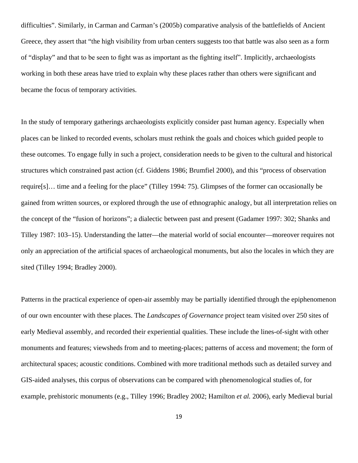difficulties". Similarly, in Carman and Carman's (2005b) comparative analysis of the battlefields of Ancient Greece, they assert that "the high visibility from urban centers suggests too that battle was also seen as a form of "display" and that to be seen to fight was as important as the fighting itself". Implicitly, archaeologists working in both these areas have tried to explain why these places rather than others were significant and became the focus of temporary activities.

In the study of temporary gatherings archaeologists explicitly consider past human agency. Especially when places can be linked to recorded events, scholars must rethink the goals and choices which guided people to these outcomes. To engage fully in such a project, consideration needs to be given to the cultural and historical structures which constrained past action (cf*.* Giddens 1986; Brumfiel 2000), and this "process of observation require[s]… time and a feeling for the place" (Tilley 1994: 75). Glimpses of the former can occasionally be gained from written sources, or explored through the use of ethnographic analogy, but all interpretation relies on the concept of the "fusion of horizons"; a dialectic between past and present (Gadamer 1997: 302; Shanks and Tilley 1987: 103–15). Understanding the latter—the material world of social encounter—moreover requires not only an appreciation of the artificial spaces of archaeological monuments, but also the locales in which they are sited (Tilley 1994; Bradley 2000).

Patterns in the practical experience of open-air assembly may be partially identified through the epiphenomenon of our own encounter with these places. The *Landscapes of Governance* project team visited over 250 sites of early Medieval assembly, and recorded their experiential qualities. These include the lines-of-sight with other monuments and features; viewsheds from and to meeting-places; patterns of access and movement; the form of architectural spaces; acoustic conditions. Combined with more traditional methods such as detailed survey and GIS-aided analyses, this corpus of observations can be compared with phenomenological studies of, for example, prehistoric monuments (e.g., Tilley 1996; Bradley 2002; Hamilton *et al.* 2006), early Medieval burial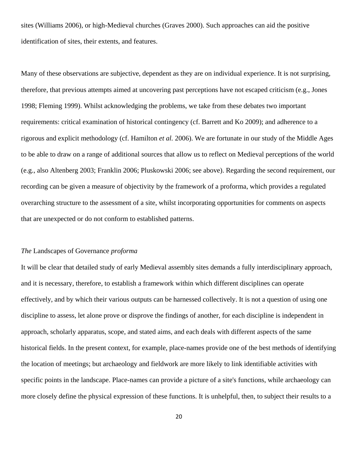sites (Williams 2006), or high-Medieval churches (Graves 2000). Such approaches can aid the positive identification of sites, their extents, and features.

Many of these observations are subjective, dependent as they are on individual experience. It is not surprising, therefore, that previous attempts aimed at uncovering past perceptions have not escaped criticism (e.g., Jones 1998; Fleming 1999). Whilst acknowledging the problems, we take from these debates two important requirements: critical examination of historical contingency (cf. Barrett and Ko 2009); and adherence to a rigorous and explicit methodology (cf. Hamilton *et al.* 2006). We are fortunate in our study of the Middle Ages to be able to draw on a range of additional sources that allow us to reflect on Medieval perceptions of the world (e.g., also Altenberg 2003; Franklin 2006; Pluskowski 2006; see above). Regarding the second requirement, our recording can be given a measure of objectivity by the framework of a proforma, which provides a regulated overarching structure to the assessment of a site, whilst incorporating opportunities for comments on aspects that are unexpected or do not conform to established patterns.

## *The* Landscapes of Governance *proforma*

It will be clear that detailed study of early Medieval assembly sites demands a fully interdisciplinary approach, and it is necessary, therefore, to establish a framework within which different disciplines can operate effectively, and by which their various outputs can be harnessed collectively. It is not a question of using one discipline to assess, let alone prove or disprove the findings of another, for each discipline is independent in approach, scholarly apparatus, scope, and stated aims, and each deals with different aspects of the same historical fields. In the present context, for example, place-names provide one of the best methods of identifying the location of meetings; but archaeology and fieldwork are more likely to link identifiable activities with specific points in the landscape. Place-names can provide a picture of a site's functions, while archaeology can more closely define the physical expression of these functions. It is unhelpful, then, to subject their results to a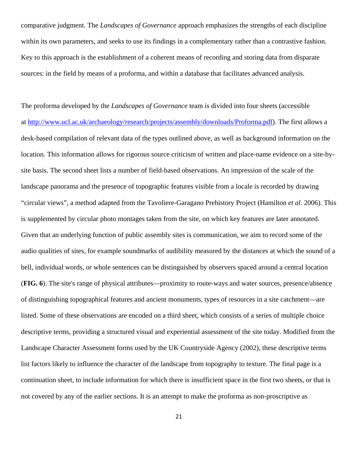comparative judgment. The *Landscapes of Governance* approach emphasizes the strengths of each discipline within its own parameters, and seeks to use its findings in a complementary rather than a contrastive fashion. Key to this approach is the establishment of a coherent means of recording and storing data from disparate sources: in the field by means of a proforma, and within a database that facilitates advanced analysis.

The proforma developed by the *Landscapes of Governance* team is divided into four sheets (accessible at [http://www.ucl.ac.uk/archaeology/research/projects/assembly/downloads/Proforma.pdf\)](http://www.ucl.ac.uk/archaeology/research/projects/assembly/downloads/Proforma.pdf). The first allows a desk-based compilation of relevant data of the types outlined above, as well as background information on the location. This information allows for rigorous source criticism of written and place-name evidence on a site-bysite basis. The second sheet lists a number of field-based observations. An impression of the scale of the landscape panorama and the presence of topographic features visible from a locale is recorded by drawing "circular views", a method adapted from the Tavoliere-Garagano Prehistory Project (Hamilton *et al*. 2006). This is supplemented by circular photo montages taken from the site, on which key features are later annotated. Given that an underlying function of public assembly sites is communication, we aim to record some of the audio qualities of sites, for example soundmarks of audibility measured by the distances at which the sound of a bell, individual words, or whole sentences can be distinguished by observers spaced around a central location (**FIG. 6**). The site's range of physical attributes—proximity to route-ways and water sources, presence/absence of distinguishing topographical features and ancient monuments, types of resources in a site catchment—are listed. Some of these observations are encoded on a third sheet, which consists of a series of multiple choice descriptive terms, providing a structured visual and experiential assessment of the site today. Modified from the Landscape Character Assessment forms used by the UK Countryside Agency (2002), these descriptive terms list factors likely to influence the character of the landscape from topography to texture. The final page is a continuation sheet, to include information for which there is insufficient space in the first two sheets, or that is not covered by any of the earlier sections. It is an attempt to make the proforma as non-proscriptive as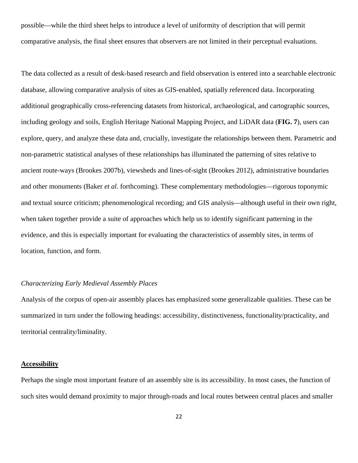possible—while the third sheet helps to introduce a level of uniformity of description that will permit comparative analysis, the final sheet ensures that observers are not limited in their perceptual evaluations.

The data collected as a result of desk-based research and field observation is entered into a searchable electronic database, allowing comparative analysis of sites as GIS-enabled, spatially referenced data. Incorporating additional geographically cross-referencing datasets from historical, archaeological, and cartographic sources, including geology and soils, English Heritage National Mapping Project, and LiDAR data (**FIG. 7**), users can explore, query, and analyze these data and, crucially, investigate the relationships between them. Parametric and non-parametric statistical analyses of these relationships has illuminated the patterning of sites relative to ancient route-ways (Brookes 2007b), viewsheds and lines-of-sight (Brookes 2012), administrative boundaries and other monuments (Baker *et al*. forthcoming). These complementary methodologies—rigorous toponymic and textual source criticism; phenomenological recording; and GIS analysis—although useful in their own right, when taken together provide a suite of approaches which help us to identify significant patterning in the evidence, and this is especially important for evaluating the characteristics of assembly sites, in terms of location, function, and form.

## *Characterizing Early Medieval Assembly Places*

Analysis of the corpus of open-air assembly places has emphasized some generalizable qualities. These can be summarized in turn under the following headings: accessibility, distinctiveness, functionality/practicality, and territorial centrality/liminality.

## **Accessibility**

Perhaps the single most important feature of an assembly site is its accessibility. In most cases, the function of such sites would demand proximity to major through-roads and local routes between central places and smaller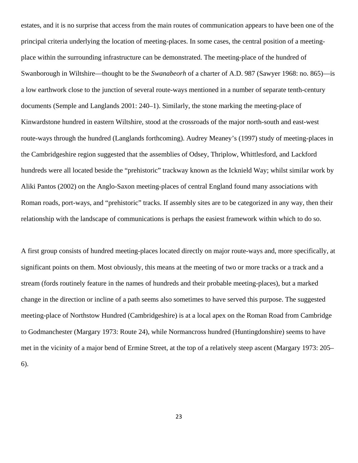estates, and it is no surprise that access from the main routes of communication appears to have been one of the principal criteria underlying the location of meeting-places. In some cases, the central position of a meetingplace within the surrounding infrastructure can be demonstrated. The meeting-place of the hundred of Swanborough in Wiltshire—thought to be the *Swanabeorh* of a charter of A.D. 987 (Sawyer 1968: no. 865)—is a low earthwork close to the junction of several route-ways mentioned in a number of separate tenth-century documents (Semple and Langlands 2001: 240–1). Similarly, the stone marking the meeting-place of Kinwardstone hundred in eastern Wiltshire, stood at the crossroads of the major north-south and east-west route-ways through the hundred (Langlands forthcoming). Audrey Meaney's (1997) study of meeting-places in the Cambridgeshire region suggested that the assemblies of Odsey, Thriplow, Whittlesford, and Lackford hundreds were all located beside the "prehistoric" trackway known as the Icknield Way; whilst similar work by Aliki Pantos (2002) on the Anglo-Saxon meeting-places of central England found many associations with Roman roads, port-ways, and "prehistoric" tracks. If assembly sites are to be categorized in any way, then their relationship with the landscape of communications is perhaps the easiest framework within which to do so.

A first group consists of hundred meeting-places located directly on major route-ways and, more specifically, at significant points on them. Most obviously, this means at the meeting of two or more tracks or a track and a stream (fords routinely feature in the names of hundreds and their probable meeting-places), but a marked change in the direction or incline of a path seems also sometimes to have served this purpose. The suggested meeting-place of Northstow Hundred (Cambridgeshire) is at a local apex on the Roman Road from Cambridge to Godmanchester (Margary 1973: Route 24), while Normancross hundred (Huntingdonshire) seems to have met in the vicinity of a major bend of Ermine Street, at the top of a relatively steep ascent (Margary 1973: 205– 6).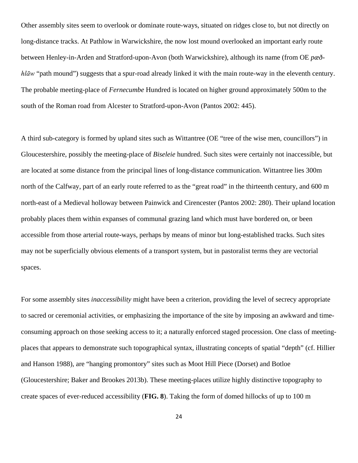Other assembly sites seem to overlook or dominate route-ways, situated on ridges close to, but not directly on long-distance tracks. At Pathlow in Warwickshire, the now lost mound overlooked an important early route between Henley-in-Arden and Stratford-upon-Avon (both Warwickshire), although its name (from OE *pæðhlāw* "path mound") suggests that a spur-road already linked it with the main route-way in the eleventh century. The probable meeting-place of *Fernecumbe* Hundred is located on higher ground approximately 500m to the south of the Roman road from Alcester to Stratford-upon-Avon (Pantos 2002: 445).

A third sub-category is formed by upland sites such as Wittantree (OE "tree of the wise men, councillors") in Gloucestershire, possibly the meeting-place of *Biseleie* hundred. Such sites were certainly not inaccessible, but are located at some distance from the principal lines of long-distance communication. Wittantree lies 300m north of the Calfway, part of an early route referred to as the "great road" in the thirteenth century, and 600 m north-east of a Medieval holloway between Painwick and Cirencester (Pantos 2002: 280). Their upland location probably places them within expanses of communal grazing land which must have bordered on, or been accessible from those arterial route-ways, perhaps by means of minor but long-established tracks. Such sites may not be superficially obvious elements of a transport system, but in pastoralist terms they are vectorial spaces.

For some assembly sites *inaccessibility* might have been a criterion, providing the level of secrecy appropriate to sacred or ceremonial activities, or emphasizing the importance of the site by imposing an awkward and timeconsuming approach on those seeking access to it; a naturally enforced staged procession. One class of meetingplaces that appears to demonstrate such topographical syntax, illustrating concepts of spatial "depth" (cf. Hillier and Hanson 1988), are "hanging promontory" sites such as Moot Hill Piece (Dorset) and Botloe (Gloucestershire; Baker and Brookes 2013b). These meeting-places utilize highly distinctive topography to create spaces of ever-reduced accessibility (**FIG. 8**). Taking the form of domed hillocks of up to 100 m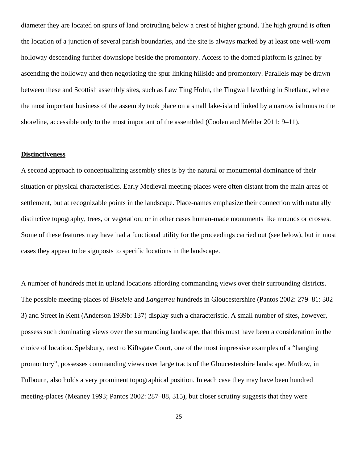diameter they are located on spurs of land protruding below a crest of higher ground. The high ground is often the location of a junction of several parish boundaries, and the site is always marked by at least one well-worn holloway descending further downslope beside the promontory. Access to the domed platform is gained by ascending the holloway and then negotiating the spur linking hillside and promontory. Parallels may be drawn between these and Scottish assembly sites, such as Law Ting Holm, the Tingwall lawthing in Shetland, where the most important business of the assembly took place on a small lake-island linked by a narrow isthmus to the shoreline, accessible only to the most important of the assembled (Coolen and Mehler 2011: 9–11).

#### **Distinctiveness**

A second approach to conceptualizing assembly sites is by the natural or monumental dominance of their situation or physical characteristics. Early Medieval meeting-places were often distant from the main areas of settlement, but at recognizable points in the landscape. Place-names emphasize their connection with naturally distinctive topography, trees, or vegetation; or in other cases human-made monuments like mounds or crosses. Some of these features may have had a functional utility for the proceedings carried out (see below), but in most cases they appear to be signposts to specific locations in the landscape.

A number of hundreds met in upland locations affording commanding views over their surrounding districts. The possible meeting-places of *Biseleie* and *Langetreu* hundreds in Gloucestershire (Pantos 2002: 279–81: 302– 3) and Street in Kent (Anderson 1939b: 137) display such a characteristic. A small number of sites, however, possess such dominating views over the surrounding landscape, that this must have been a consideration in the choice of location. Spelsbury, next to Kiftsgate Court, one of the most impressive examples of a "hanging promontory", possesses commanding views over large tracts of the Gloucestershire landscape. Mutlow, in Fulbourn, also holds a very prominent topographical position. In each case they may have been hundred meeting-places (Meaney 1993; Pantos 2002: 287–88, 315), but closer scrutiny suggests that they were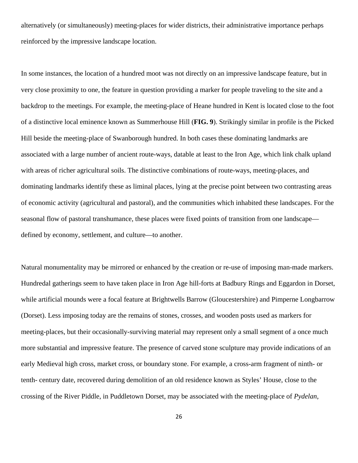alternatively (or simultaneously) meeting-places for wider districts, their administrative importance perhaps reinforced by the impressive landscape location.

In some instances, the location of a hundred moot was not directly on an impressive landscape feature, but in very close proximity to one, the feature in question providing a marker for people traveling to the site and a backdrop to the meetings. For example, the meeting-place of Heane hundred in Kent is located close to the foot of a distinctive local eminence known as Summerhouse Hill (**FIG. 9**). Strikingly similar in profile is the Picked Hill beside the meeting-place of Swanborough hundred. In both cases these dominating landmarks are associated with a large number of ancient route-ways, datable at least to the Iron Age, which link chalk upland with areas of richer agricultural soils. The distinctive combinations of route-ways, meeting-places, and dominating landmarks identify these as liminal places, lying at the precise point between two contrasting areas of economic activity (agricultural and pastoral), and the communities which inhabited these landscapes. For the seasonal flow of pastoral transhumance, these places were fixed points of transition from one landscape defined by economy, settlement, and culture—to another.

Natural monumentality may be mirrored or enhanced by the creation or re-use of imposing man-made markers. Hundredal gatherings seem to have taken place in Iron Age hill-forts at Badbury Rings and Eggardon in Dorset, while artificial mounds were a focal feature at Brightwells Barrow (Gloucestershire) and Pimperne Longbarrow (Dorset). Less imposing today are the remains of stones, crosses, and wooden posts used as markers for meeting-places, but their occasionally-surviving material may represent only a small segment of a once much more substantial and impressive feature. The presence of carved stone sculpture may provide indications of an early Medieval high cross, market cross, or boundary stone. For example, a cross-arm fragment of ninth- or tenth- century date, recovered during demolition of an old residence known as Styles' House, close to the crossing of the River Piddle, in Puddletown Dorset, may be associated with the meeting-place of *Pydelan*,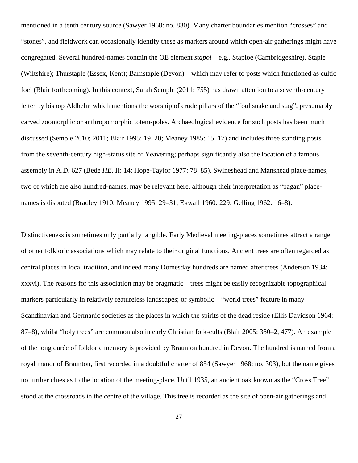mentioned in a tenth century source (Sawyer 1968: no. 830). Many charter boundaries mention "crosses" and "stones", and fieldwork can occasionally identify these as markers around which open-air gatherings might have congregated. Several hundred-names contain the OE element *stapol*—e.g., Staploe (Cambridgeshire), Staple (Wiltshire); Thurstaple (Essex, Kent); Barnstaple (Devon)—which may refer to posts which functioned as cultic foci (Blair forthcoming). In this context, Sarah Semple (2011: 755) has drawn attention to a seventh-century letter by bishop Aldhelm which mentions the worship of crude pillars of the "foul snake and stag", presumably carved zoomorphic or anthropomorphic totem-poles. Archaeological evidence for such posts has been much discussed (Semple 2010; 2011; Blair 1995: 19–20; Meaney 1985: 15–17) and includes three standing posts from the seventh-century high-status site of Yeavering; perhaps significantly also the location of a famous assembly in A.D. 627 (Bede *HE*, II: 14; Hope-Taylor 1977: 78–85). Swineshead and Manshead place-names, two of which are also hundred-names, may be relevant here, although their interpretation as "pagan" placenames is disputed (Bradley 1910; Meaney 1995: 29–31; Ekwall 1960: 229; Gelling 1962: 16–8).

Distinctiveness is sometimes only partially tangible. Early Medieval meeting-places sometimes attract a range of other folkloric associations which may relate to their original functions. Ancient trees are often regarded as central places in local tradition, and indeed many Domesday hundreds are named after trees (Anderson 1934: xxxvi). The reasons for this association may be pragmatic—trees might be easily recognizable topographical markers particularly in relatively featureless landscapes; or symbolic—"world trees" feature in many Scandinavian and Germanic societies as the places in which the spirits of the dead reside (Ellis Davidson 1964: 87–8), whilst "holy trees" are common also in early Christian folk-cults (Blair 2005: 380–2, 477). An example of the long durée of folkloric memory is provided by Braunton hundred in Devon. The hundred is named from a royal manor of Braunton, first recorded in a doubtful charter of 854 (Sawyer 1968: no. 303), but the name gives no further clues as to the location of the meeting-place. Until 1935, an ancient oak known as the "Cross Tree" stood at the crossroads in the centre of the village. This tree is recorded as the site of open-air gatherings and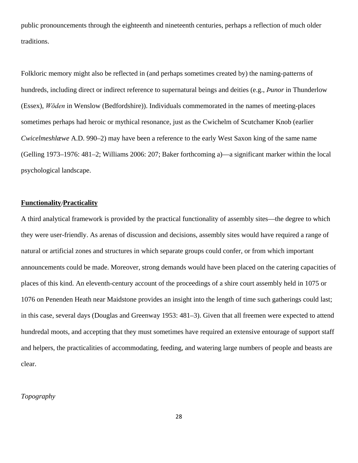public pronouncements through the eighteenth and nineteenth centuries, perhaps a reflection of much older traditions.

Folkloric memory might also be reflected in (and perhaps sometimes created by) the naming-patterns of hundreds, including direct or indirect reference to supernatural beings and deities (e.g., *Ϸunor* in Thunderlow (Essex), *Wōden* in Wenslow (Bedfordshire)). Individuals commemorated in the names of meeting-places sometimes perhaps had heroic or mythical resonance, just as the Cwichelm of Scutchamer Knob (earlier *Cwicelmeshlæwe* A.D. 990–2) may have been a reference to the early West Saxon king of the same name (Gelling 1973–1976: 481–2; Williams 2006: 207; Baker forthcoming a)—a significant marker within the local psychological landscape.

## **Functionality**/**Practicality**

A third analytical framework is provided by the practical functionality of assembly sites—the degree to which they were user-friendly. As arenas of discussion and decisions, assembly sites would have required a range of natural or artificial zones and structures in which separate groups could confer, or from which important announcements could be made. Moreover, strong demands would have been placed on the catering capacities of places of this kind. An eleventh-century account of the proceedings of a shire court assembly held in 1075 or 1076 on Penenden Heath near Maidstone provides an insight into the length of time such gatherings could last; in this case, several days (Douglas and Greenway 1953: 481–3). Given that all freemen were expected to attend hundredal moots, and accepting that they must sometimes have required an extensive entourage of support staff and helpers, the practicalities of accommodating, feeding, and watering large numbers of people and beasts are clear.

## *Topography*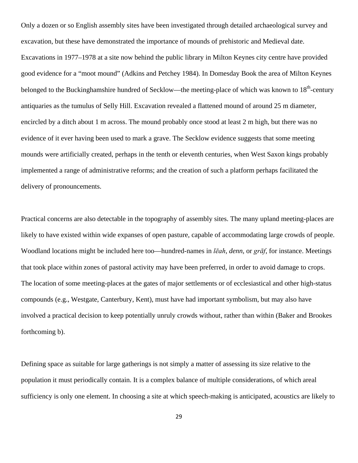Only a dozen or so English assembly sites have been investigated through detailed archaeological survey and excavation, but these have demonstrated the importance of mounds of prehistoric and Medieval date. Excavations in 1977–1978 at a site now behind the public library in Milton Keynes city centre have provided good evidence for a "moot mound" (Adkins and Petchey 1984). In Domesday Book the area of Milton Keynes belonged to the Buckinghamshire hundred of Secklow—the meeting-place of which was known to 18<sup>th</sup>-century antiquaries as the tumulus of Selly Hill. Excavation revealed a flattened mound of around 25 m diameter, encircled by a ditch about 1 m across. The mound probably once stood at least 2 m high, but there was no evidence of it ever having been used to mark a grave. The Secklow evidence suggests that some meeting mounds were artificially created, perhaps in the tenth or eleventh centuries, when West Saxon kings probably implemented a range of administrative reforms; and the creation of such a platform perhaps facilitated the delivery of pronouncements.

Practical concerns are also detectable in the topography of assembly sites. The many upland meeting-places are likely to have existed within wide expanses of open pasture, capable of accommodating large crowds of people. Woodland locations might be included here too—hundred-names in *lēah*, *denn*, or *grāf*, for instance. Meetings that took place within zones of pastoral activity may have been preferred, in order to avoid damage to crops. The location of some meeting-places at the gates of major settlements or of ecclesiastical and other high-status compounds (e.g., Westgate, Canterbury, Kent), must have had important symbolism, but may also have involved a practical decision to keep potentially unruly crowds without, rather than within (Baker and Brookes forthcoming b).

Defining space as suitable for large gatherings is not simply a matter of assessing its size relative to the population it must periodically contain. It is a complex balance of multiple considerations, of which areal sufficiency is only one element. In choosing a site at which speech-making is anticipated, acoustics are likely to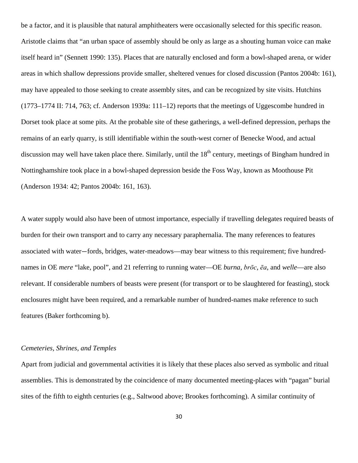be a factor, and it is plausible that natural amphitheaters were occasionally selected for this specific reason. Aristotle claims that "an urban space of assembly should be only as large as a shouting human voice can make itself heard in" (Sennett 1990: 135). Places that are naturally enclosed and form a bowl-shaped arena, or wider areas in which shallow depressions provide smaller, sheltered venues for closed discussion (Pantos 2004b: 161), may have appealed to those seeking to create assembly sites, and can be recognized by site visits. Hutchins (1773–1774 II: 714, 763; cf. Anderson 1939a: 111–12) reports that the meetings of Uggescombe hundred in Dorset took place at some pits. At the probable site of these gatherings, a well-defined depression, perhaps the remains of an early quarry, is still identifiable within the south-west corner of Benecke Wood, and actual discussion may well have taken place there. Similarly, until the  $18<sup>th</sup>$  century, meetings of Bingham hundred in Nottinghamshire took place in a bowl-shaped depression beside the Foss Way, known as Moothouse Pit (Anderson 1934: 42; Pantos 2004b: 161, 163).

A water supply would also have been of utmost importance, especially if travelling delegates required beasts of burden for their own transport and to carry any necessary paraphernalia. The many references to features associated with water—fords, bridges, water-meadows—may bear witness to this requirement; five hundrednames in OE *mere* "lake, pool", and 21 referring to running water—OE *burna*, *brōc*, *ēa*, and *welle*—are also relevant. If considerable numbers of beasts were present (for transport or to be slaughtered for feasting), stock enclosures might have been required, and a remarkable number of hundred-names make reference to such features (Baker forthcoming b).

#### *Cemeteries, Shrines, and Temples*

Apart from judicial and governmental activities it is likely that these places also served as symbolic and ritual assemblies. This is demonstrated by the coincidence of many documented meeting-places with "pagan" burial sites of the fifth to eighth centuries (e.g., Saltwood above; Brookes forthcoming). A similar continuity of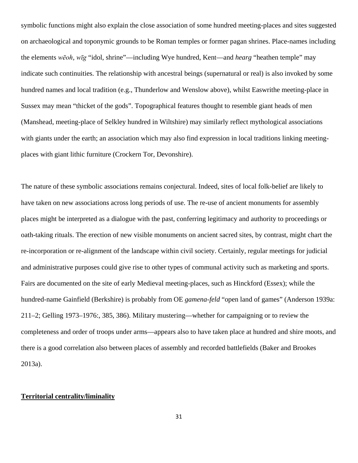symbolic functions might also explain the close association of some hundred meeting-places and sites suggested on archaeological and toponymic grounds to be Roman temples or former pagan shrines. Place-names including the elements *wēoh, wīg* "idol, shrine"—including Wye hundred, Kent—and *hearg* "heathen temple" may indicate such continuities. The relationship with ancestral beings (supernatural or real) is also invoked by some hundred names and local tradition (e.g., Thunderlow and Wenslow above), whilst Easwrithe meeting-place in Sussex may mean "thicket of the gods". Topographical features thought to resemble giant heads of men (Manshead, meeting-place of Selkley hundred in Wiltshire) may similarly reflect mythological associations with giants under the earth; an association which may also find expression in local traditions linking meetingplaces with giant lithic furniture (Crockern Tor, Devonshire).

The nature of these symbolic associations remains conjectural. Indeed, sites of local folk-belief are likely to have taken on new associations across long periods of use. The re-use of ancient monuments for assembly places might be interpreted as a dialogue with the past, conferring legitimacy and authority to proceedings or oath-taking rituals. The erection of new visible monuments on ancient sacred sites, by contrast, might chart the re-incorporation or re-alignment of the landscape within civil society. Certainly, regular meetings for judicial and administrative purposes could give rise to other types of communal activity such as marketing and sports. Fairs are documented on the site of early Medieval meeting-places, such as Hinckford (Essex); while the hundred-name Gainfield (Berkshire) is probably from OE *gamena-feld* "open land of games" (Anderson 1939a: 211–2; Gelling 1973–1976:, 385, 386). Military mustering—whether for campaigning or to review the completeness and order of troops under arms—appears also to have taken place at hundred and shire moots, and there is a good correlation also between places of assembly and recorded battlefields (Baker and Brookes 2013a).

### **Territorial centrality/liminality**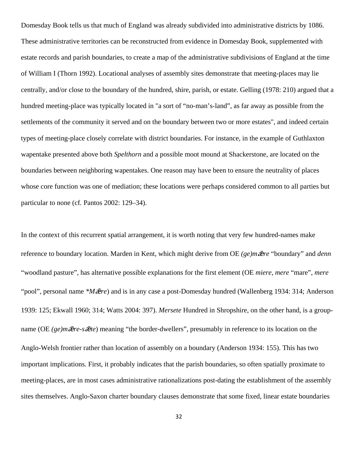Domesday Book tells us that much of England was already subdivided into administrative districts by 1086. These administrative territories can be reconstructed from evidence in Domesday Book, supplemented with estate records and parish boundaries, to create a map of the administrative subdivisions of England at the time of William I (Thorn 1992). Locational analyses of assembly sites demonstrate that meeting-places may lie centrally, and/or close to the boundary of the hundred, shire, parish, or estate. Gelling (1978: 210) argued that a hundred meeting-place was typically located in "a sort of "no-man's-land", as far away as possible from the settlements of the community it served and on the boundary between two or more estates", and indeed certain types of meeting-place closely correlate with district boundaries. For instance, in the example of Guthlaxton wapentake presented above both *Spelthorn* and a possible moot mound at Shackerstone, are located on the boundaries between neighboring wapentakes. One reason may have been to ensure the neutrality of places whose core function was one of mediation; these locations were perhaps considered common to all parties but particular to none (cf*.* Pantos 2002: 129–34).

In the context of this recurrent spatial arrangement, it is worth noting that very few hundred-names make reference to boundary location. Marden in Kent, which might derive from OE (ge)m $\bar{z}$ re "boundary" and *denn* "woodland pasture", has alternative possible explanations for the first element (OE *miere*, *mere* "mare", *mere* "pool", personal name *\*M* $\bar{\mathbf{z}}$ re) and is in any case a post-Domesday hundred (Wallenberg 1934: 314; Anderson 1939: 125; Ekwall 1960; 314; Watts 2004: 397). *Mersete* Hundred in Shropshire, on the other hand, is a groupname (OE (ge)m $\bar{z}$ *re-s* $\bar{z}$ *te*) meaning "the border-dwellers", presumably in reference to its location on the Anglo-Welsh frontier rather than location of assembly on a boundary (Anderson 1934: 155). This has two important implications. First, it probably indicates that the parish boundaries, so often spatially proximate to meeting-places, are in most cases administrative rationalizations post-dating the establishment of the assembly sites themselves. Anglo-Saxon charter boundary clauses demonstrate that some fixed, linear estate boundaries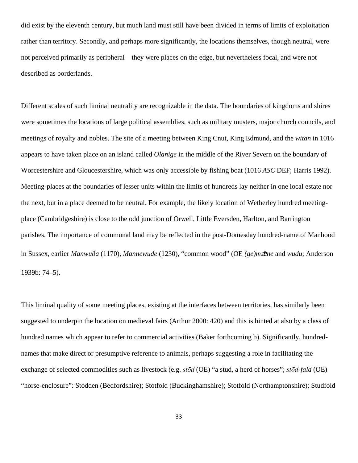did exist by the eleventh century, but much land must still have been divided in terms of limits of exploitation rather than territory. Secondly, and perhaps more significantly, the locations themselves, though neutral, were not perceived primarily as peripheral—they were places on the edge, but nevertheless focal, and were not described as borderlands.

Different scales of such liminal neutrality are recognizable in the data. The boundaries of kingdoms and shires were sometimes the locations of large political assemblies, such as military musters, major church councils, and meetings of royalty and nobles. The site of a meeting between King Cnut, King Edmund, and the *witan* in 1016 appears to have taken place on an island called *Olanige* in the middle of the River Severn on the boundary of Worcestershire and Gloucestershire, which was only accessible by fishing boat (1016 *ASC* DEF; Harris 1992). Meeting-places at the boundaries of lesser units within the limits of hundreds lay neither in one local estate nor the next, but in a place deemed to be neutral. For example, the likely location of Wetherley hundred meetingplace (Cambridgeshire) is close to the odd junction of Orwell, Little Eversden, Harlton, and Barrington parishes. The importance of communal land may be reflected in the post-Domesday hundred-name of Manhood in Sussex, earlier *Manwuða* (1170), *Mannewude* (1230), "common wood" (OE (ge)m $\bar{\vec{\boldsymbol{\alpha}}}$ ne and *wudu*; Anderson 1939b: 74–5).

This liminal quality of some meeting places, existing at the interfaces between territories, has similarly been suggested to underpin the location on medieval fairs (Arthur 2000: 420) and this is hinted at also by a class of hundred names which appear to refer to commercial activities (Baker forthcoming b). Significantly, hundrednames that make direct or presumptive reference to animals, perhaps suggesting a role in facilitating the exchange of selected commodities such as livestock (e.g. *stōd* (OE) "a stud, a herd of horses"; *stōd-fald* (OE) "horse-enclosure": Stodden (Bedfordshire); Stotfold (Buckinghamshire); Stotfold (Northamptonshire); Studfold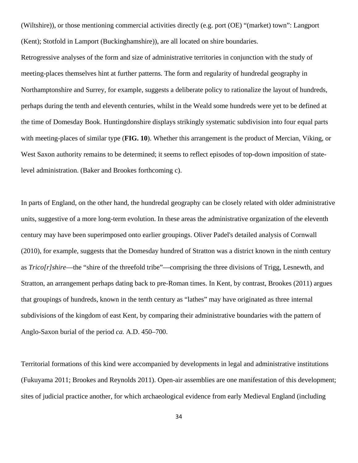(Wiltshire)), or those mentioning commercial activities directly (e.g. port (OE) "(market) town": Langport (Kent); Stotfold in Lamport (Buckinghamshire)), are all located on shire boundaries.

Retrogressive analyses of the form and size of administrative territories in conjunction with the study of meeting-places themselves hint at further patterns. The form and regularity of hundredal geography in Northamptonshire and Surrey, for example, suggests a deliberate policy to rationalize the layout of hundreds, perhaps during the tenth and eleventh centuries, whilst in the Weald some hundreds were yet to be defined at the time of Domesday Book. Huntingdonshire displays strikingly systematic subdivision into four equal parts with meeting-places of similar type (**FIG. 10**). Whether this arrangement is the product of Mercian, Viking, or West Saxon authority remains to be determined; it seems to reflect episodes of top-down imposition of statelevel administration. (Baker and Brookes forthcoming c).

In parts of England, on the other hand, the hundredal geography can be closely related with older administrative units, suggestive of a more long-term evolution. In these areas the administrative organization of the eleventh century may have been superimposed onto earlier groupings. Oliver Padel's detailed analysis of Cornwall (2010), for example, suggests that the Domesday hundred of Stratton was a district known in the ninth century as *Trico[r]shire*—the "shire of the threefold tribe"—comprising the three divisions of Trigg, Lesnewth, and Stratton, an arrangement perhaps dating back to pre-Roman times. In Kent, by contrast, Brookes (2011) argues that groupings of hundreds, known in the tenth century as "lathes" may have originated as three internal subdivisions of the kingdom of east Kent, by comparing their administrative boundaries with the pattern of Anglo-Saxon burial of the period *ca.* A.D. 450–700.

Territorial formations of this kind were accompanied by developments in legal and administrative institutions (Fukuyama 2011; Brookes and Reynolds 2011). Open-air assemblies are one manifestation of this development; sites of judicial practice another, for which archaeological evidence from early Medieval England (including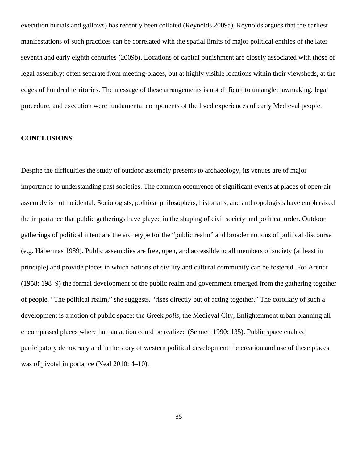execution burials and gallows) has recently been collated (Reynolds 2009a). Reynolds argues that the earliest manifestations of such practices can be correlated with the spatial limits of major political entities of the later seventh and early eighth centuries (2009b). Locations of capital punishment are closely associated with those of legal assembly: often separate from meeting-places, but at highly visible locations within their viewsheds, at the edges of hundred territories. The message of these arrangements is not difficult to untangle: lawmaking, legal procedure, and execution were fundamental components of the lived experiences of early Medieval people.

#### **CONCLUSIONS**

Despite the difficulties the study of outdoor assembly presents to archaeology, its venues are of major importance to understanding past societies. The common occurrence of significant events at places of open-air assembly is not incidental. Sociologists, political philosophers, historians, and anthropologists have emphasized the importance that public gatherings have played in the shaping of civil society and political order. Outdoor gatherings of political intent are the archetype for the "public realm" and broader notions of political discourse (e.g. Habermas 1989). Public assemblies are free, open, and accessible to all members of society (at least in principle) and provide places in which notions of civility and cultural community can be fostered. For Arendt (1958: 198–9) the formal development of the public realm and government emerged from the gathering together of people. "The political realm," she suggests, "rises directly out of acting together." The corollary of such a development is a notion of public space: the Greek *polis*, the Medieval City, Enlightenment urban planning all encompassed places where human action could be realized (Sennett 1990: 135). Public space enabled participatory democracy and in the story of western political development the creation and use of these places was of pivotal importance (Neal 2010: 4–10).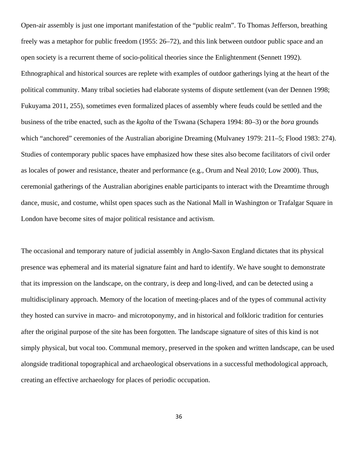Open-air assembly is just one important manifestation of the "public realm". To Thomas Jefferson, breathing freely was a metaphor for public freedom (1955: 26–72), and this link between outdoor public space and an open society is a recurrent theme of socio-political theories since the Enlightenment (Sennett 1992). Ethnographical and historical sources are replete with examples of outdoor gatherings lying at the heart of the political community. Many tribal societies had elaborate systems of dispute settlement (van der Dennen 1998; Fukuyama 2011, 255), sometimes even formalized places of assembly where feuds could be settled and the business of the tribe enacted, such as the *kgolta* of the Tswana (Schapera 1994: 80–3) or the *bora* grounds which "anchored" ceremonies of the Australian aborigine Dreaming (Mulvaney 1979: 211–5; Flood 1983: 274). Studies of contemporary public spaces have emphasized how these sites also become facilitators of civil order as locales of power and resistance, theater and performance (e.g., Orum and Neal 2010; Low 2000). Thus, ceremonial gatherings of the Australian aborigines enable participants to interact with the Dreamtime through dance, music, and costume, whilst open spaces such as the National Mall in Washington or Trafalgar Square in London have become sites of major political resistance and activism.

The occasional and temporary nature of judicial assembly in Anglo-Saxon England dictates that its physical presence was ephemeral and its material signature faint and hard to identify. We have sought to demonstrate that its impression on the landscape, on the contrary, is deep and long-lived, and can be detected using a multidisciplinary approach. Memory of the location of meeting-places and of the types of communal activity they hosted can survive in macro- and microtoponymy, and in historical and folkloric tradition for centuries after the original purpose of the site has been forgotten. The landscape signature of sites of this kind is not simply physical, but vocal too. Communal memory, preserved in the spoken and written landscape, can be used alongside traditional topographical and archaeological observations in a successful methodological approach, creating an effective archaeology for places of periodic occupation.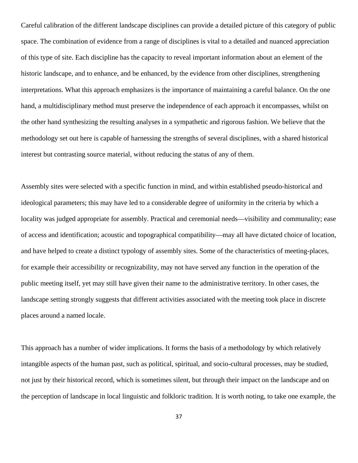Careful calibration of the different landscape disciplines can provide a detailed picture of this category of public space. The combination of evidence from a range of disciplines is vital to a detailed and nuanced appreciation of this type of site. Each discipline has the capacity to reveal important information about an element of the historic landscape, and to enhance, and be enhanced, by the evidence from other disciplines, strengthening interpretations. What this approach emphasizes is the importance of maintaining a careful balance. On the one hand, a multidisciplinary method must preserve the independence of each approach it encompasses, whilst on the other hand synthesizing the resulting analyses in a sympathetic and rigorous fashion. We believe that the methodology set out here is capable of harnessing the strengths of several disciplines, with a shared historical interest but contrasting source material, without reducing the status of any of them.

Assembly sites were selected with a specific function in mind, and within established pseudo-historical and ideological parameters; this may have led to a considerable degree of uniformity in the criteria by which a locality was judged appropriate for assembly. Practical and ceremonial needs—visibility and communality; ease of access and identification; acoustic and topographical compatibility—may all have dictated choice of location, and have helped to create a distinct typology of assembly sites. Some of the characteristics of meeting-places, for example their accessibility or recognizability, may not have served any function in the operation of the public meeting itself, yet may still have given their name to the administrative territory. In other cases, the landscape setting strongly suggests that different activities associated with the meeting took place in discrete places around a named locale.

This approach has a number of wider implications. It forms the basis of a methodology by which relatively intangible aspects of the human past, such as political, spiritual, and socio-cultural processes, may be studied, not just by their historical record, which is sometimes silent, but through their impact on the landscape and on the perception of landscape in local linguistic and folkloric tradition. It is worth noting, to take one example, the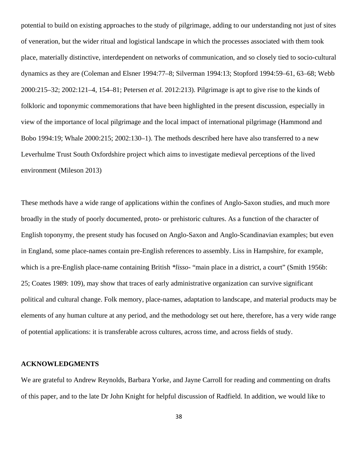potential to build on existing approaches to the study of pilgrimage, adding to our understanding not just of sites of veneration, but the wider ritual and logistical landscape in which the processes associated with them took place, materially distinctive, interdependent on networks of communication, and so closely tied to socio-cultural dynamics as they are (Coleman and Elsner 1994:77–8; Silverman 1994:13; Stopford 1994:59–61, 63–68; Webb 2000:215–32; 2002:121–4, 154–81; Petersen *et al.* 2012:213). Pilgrimage is apt to give rise to the kinds of folkloric and toponymic commemorations that have been highlighted in the present discussion, especially in view of the importance of local pilgrimage and the local impact of international pilgrimage (Hammond and Bobo 1994:19; Whale 2000:215; 2002:130–1). The methods described here have also transferred to a new Leverhulme Trust South Oxfordshire project which aims to investigate medieval perceptions of the lived environment (Mileson 2013)

These methods have a wide range of applications within the confines of Anglo-Saxon studies, and much more broadly in the study of poorly documented, proto- or prehistoric cultures. As a function of the character of English toponymy, the present study has focused on Anglo-Saxon and Anglo-Scandinavian examples; but even in England, some place-names contain pre-English references to assembly. Liss in Hampshire, for example, which is a pre-English place-name containing British *\*lisso*- "main place in a district, a court" (Smith 1956b: 25; Coates 1989: 109), may show that traces of early administrative organization can survive significant political and cultural change. Folk memory, place-names, adaptation to landscape, and material products may be elements of any human culture at any period, and the methodology set out here, therefore, has a very wide range of potential applications: it is transferable across cultures, across time, and across fields of study.

## **ACKNOWLEDGMENTS**

We are grateful to Andrew Reynolds, Barbara Yorke, and Jayne Carroll for reading and commenting on drafts of this paper, and to the late Dr John Knight for helpful discussion of Radfield. In addition, we would like to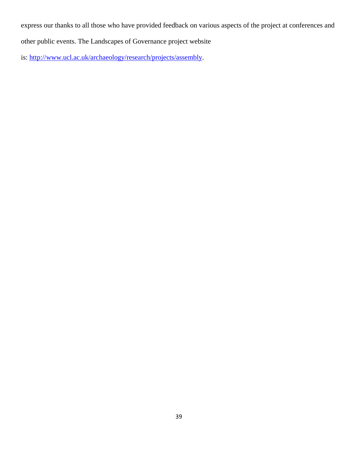express our thanks to all those who have provided feedback on various aspects of the project at conferences and

other public events. The Landscapes of Governance project website

is: [http://www.ucl.ac.uk/archaeology/research/projects/assembly.](http://www.ucl.ac.uk/archaeology/research/projects/assembly)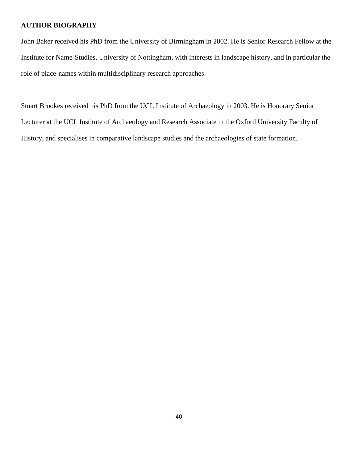#### **AUTHOR BIOGRAPHY**

John Baker received his PhD from the University of Birmingham in 2002. He is Senior Research Fellow at the Institute for Name-Studies, University of Nottingham, with interests in landscape history, and in particular the role of place-names within multidisciplinary research approaches.

Stuart Brookes received his PhD from the UCL Institute of Archaeology in 2003. He is Honorary Senior Lecturer at the UCL Institute of Archaeology and Research Associate in the Oxford University Faculty of History*,* and specialises in comparative landscape studies and the archaeologies of state formation.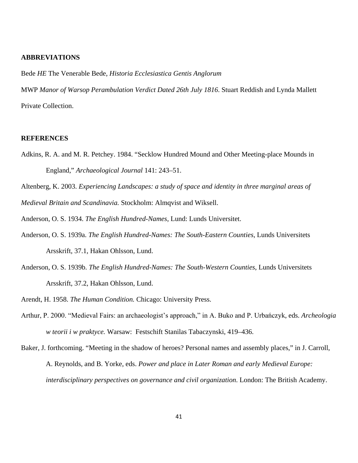#### **ABBREVIATIONS**

Bede *HE* The Venerable Bede, *Historia Ecclesiastica Gentis Anglorum*

MWP *Manor of Warsop Perambulation Verdict Dated 26th July 1816*. Stuart Reddish and Lynda Mallett Private Collection.

## **REFERENCES**

Adkins, R. A. and M. R. Petchey. 1984. "Secklow Hundred Mound and Other Meeting-place Mounds in England," *Archaeological Journal* 141: 243–51.

Altenberg, K. 2003. *Experiencing Landscapes: a study of space and identity in three marginal areas of Medieval Britain and Scandinavia.* Stockholm: Almqvist and Wiksell.

Anderson, O. S. 1934. *The English Hundred-Names*, Lund: Lunds Universitet.

- Anderson, O. S. 1939a. *The English Hundred-Names: The South-Eastern Counties*, Lunds Universitets Arsskrift, 37.1, Hakan Ohlsson, Lund.
- Anderson, O. S. 1939b. *The English Hundred-Names: The South-Western Counties*, Lunds Universitets Arsskrift, 37.2, Hakan Ohlsson, Lund.

Arendt, H. 1958. *The Human Condition.* Chicago: University Press.

- Arthur, P. 2000. "Medieval Fairs: an archaeologist's approach," in A. Buko and P. Urbańczyk, eds. *Archeologia w teorii i w praktyce.* Warsaw: Festschift Stanilas Tabaczynski, 419–436.
- Baker, J. forthcoming. "Meeting in the shadow of heroes? Personal names and assembly places," in J. Carroll, A. Reynolds, and B. Yorke, eds. *Power and place in Later Roman and early Medieval Europe: interdisciplinary perspectives on governance and civil organization*. London: The British Academy.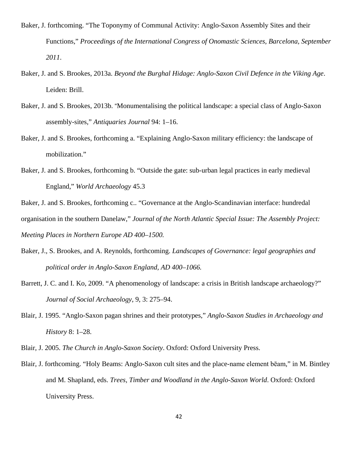- Baker, J. forthcoming. "The Toponymy of Communal Activity: Anglo-Saxon Assembly Sites and their Functions," *Proceedings of the International Congress of Onomastic Sciences, Barcelona, September 2011*.
- Baker, J. and S. Brookes, 2013a. *Beyond the Burghal Hidage: Anglo-Saxon Civil Defence in the Viking Age*. Leiden: Brill.
- Baker, J. and S. Brookes, 2013b. "Monumentalising the political landscape: a special class of Anglo-Saxon assembly-sites," *Antiquaries Journal* 94: 1–16.
- Baker, J. and S. Brookes, forthcoming a. "Explaining Anglo-Saxon military efficiency: the landscape of mobilization."
- Baker, J. and S. Brookes, forthcoming b. "Outside the gate: sub-urban legal practices in early medieval England," *World Archaeology* 45.3
- Baker, J. and S. Brookes, forthcoming c.. "Governance at the Anglo-Scandinavian interface: hundredal organisation in the southern Danelaw," *Journal of the North Atlantic Special Issue: The Assembly Project: Meeting Places in Northern Europe AD 400–1500.*
- Baker, J., S. Brookes, and A. Reynolds, forthcoming. *Landscapes of Governance: legal geographies and political order in Anglo-Saxon England, AD 400–1066.*
- Barrett, J. C. and I. Ko, 2009. "A phenomenology of landscape: a crisis in British landscape archaeology?" *Journal of Social Archaeology*, 9, 3: 275–94.
- Blair, J. 1995. "Anglo-Saxon pagan shrines and their prototypes," *Anglo-Saxon Studies in Archaeology and History* 8: 1–28.
- Blair, J. 2005. *The Church in Anglo-Saxon Society*. Oxford: Oxford University Press.
- Blair, J. forthcoming. "Holy Beams: Anglo-Saxon cult sites and the place-name element bēam," in M. Bintley and M. Shapland, eds. *Trees, Timber and Woodland in the Anglo-Saxon World*. Oxford: Oxford University Press.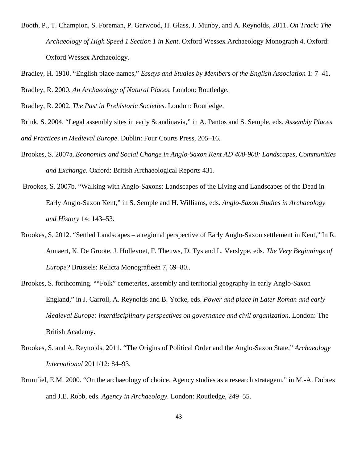- Booth, P., T. Champion, S. Foreman, P. Garwood, H. Glass, J. Munby, and A. Reynolds, 2011. *On Track: The Archaeology of High Speed 1 Section 1 in Kent*. Oxford Wessex Archaeology Monograph 4. Oxford: Oxford Wessex Archaeology.
- Bradley, H. 1910. "English place-names," *Essays and Studies by Members of the English Association* 1: 7–41. Bradley, R. 2000. *An Archaeology of Natural Places*. London: Routledge.

Bradley, R. 2002. *The Past in Prehistoric Societies*. London: Routledge.

- Brink, S. 2004. "Legal assembly sites in early Scandinavia," in A. Pantos and S. Semple, eds. *Assembly Places and Practices in Medieval Europe*. Dublin: Four Courts Press, 205–16.
- Brookes, S. 2007a. *Economics and Social Change in Anglo-Saxon Kent AD 400-900: Landscapes, Communities and Exchange*. Oxford: British Archaeological Reports 431.
- Brookes, S. 2007b. "Walking with Anglo-Saxons: Landscapes of the Living and Landscapes of the Dead in Early Anglo-Saxon Kent," in S. Semple and H. Williams, eds. *Anglo-Saxon Studies in Archaeology and History* 14: 143–53.
- Brookes, S. 2012. "Settled Landscapes a regional perspective of Early Anglo-Saxon settlement in Kent," In R. Annaert, K. De Groote, J. Hollevoet, F. Theuws, D. Tys and L. Verslype, eds. *The Very Beginnings of Europe?* Brussels: Relicta Monografieën 7, 69–80..
- Brookes, S. forthcoming. ""Folk" cemeteries, assembly and territorial geography in early Anglo-Saxon England," in J. Carroll, A. Reynolds and B. Yorke, eds. *Power and place in Later Roman and early Medieval Europe: interdisciplinary perspectives on governance and civil organization*. London: The British Academy.
- Brookes, S. and A. Reynolds, 2011. "The Origins of Political Order and the Anglo-Saxon State," *Archaeology International* 2011/12: 84–93.
- Brumfiel, E.M. 2000. "On the archaeology of choice. Agency studies as a research stratagem," in M.-A. Dobres and J.E. Robb, eds. *Agency in Archaeology*. London: Routledge, 249–55.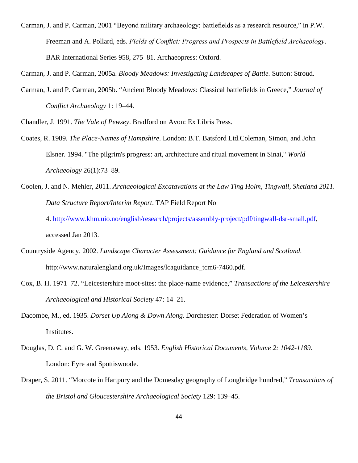Carman, J. and P. Carman, 2001 "Beyond military archaeology: battlefields as a research resource," in P.W. Freeman and A. Pollard, eds. *Fields of Conflict: Progress and Prospects in Battlefield Archaeology*. BAR International Series 958, 275–81. Archaeopress: Oxford.

Carman, J. and P. Carman, 2005a. *Bloody Meadows: Investigating Landscapes of Battle.* Sutton: Stroud.

- Carman, J. and P. Carman, 2005b. "Ancient Bloody Meadows: Classical battlefields in Greece," *Journal of Conflict Archaeology* 1: 19–44.
- Chandler, J. 1991. *The Vale of Pewsey*. Bradford on Avon: Ex Libris Press.
- Coates, R. 1989. *The Place-Names of Hampshire*. London: B.T. Batsford Ltd.Coleman, Simon, and John Elsner. 1994. "The pilgrim's progress: art, architecture and ritual movement in Sinai," *World Archaeology* 26(1):73–89.
- Coolen, J. and N. Mehler, 2011. *Archaeological Excatavations at the Law Ting Holm, Tingwall, Shetland 2011. Data Structure Report/Interim Report*. TAP Field Report No
	- 4. [http://www.khm.uio.no/english/research/projects/assembly-project/pdf/tingwall-dsr-small.pdf,](http://www.khm.uio.no/english/research/projects/assembly-project/pdf/tingwall-dsr-small.pdf) accessed Jan 2013.
- Countryside Agency. 2002. *Landscape Character Assessment: Guidance for England and Scotland*. http://www.naturalengland.org.uk/Images/lcaguidance\_tcm6-7460.pdf.
- Cox, B. H. 1971–72. "Leicestershire moot-sites: the place-name evidence," *Transactions of the Leicestershire Archaeological and Historical Society* 47: 14–21.
- Dacombe, M., ed. 1935. *Dorset Up Along & Down Along.* Dorchester: Dorset Federation of Women's Institutes.
- Douglas, D. C. and G. W. Greenaway, eds. 1953. *English Historical Documents, Volume 2: 1042-1189*. London: Eyre and Spottiswoode.
- Draper, S. 2011. "Morcote in Hartpury and the Domesday geography of Longbridge hundred," *Transactions of the Bristol and Gloucestershire Archaeological Society* 129: 139–45.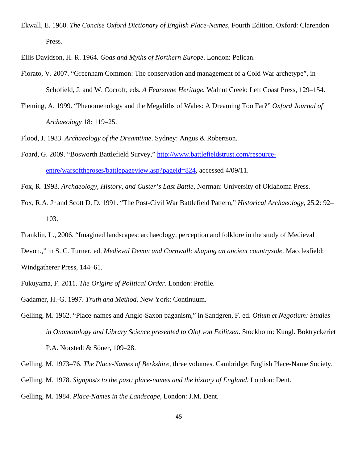Ekwall, E. 1960. *The Concise Oxford Dictionary of English Place-Names*, Fourth Edition. Oxford: Clarendon Press.

Ellis Davidson, H. R. 1964. *Gods and Myths of Northern Europe*. London: Pelican.

- Fiorato, V. 2007. "Greenham Common: The conservation and management of a Cold War archetype", in Schofield, J. and W. Cocroft, eds. *A Fearsome Heritage.* Walnut Creek: Left Coast Press, 129–154.
- Fleming, A. 1999. "Phenomenology and the Megaliths of Wales: A Dreaming Too Far?" *Oxford Journal of Archaeology* 18: 119–25.

Flood, J. 1983. *Archaeology of the Dreamtime*. Sydney: Angus & Robertson.

Foard, G. 2009. "Bosworth Battlefield Survey," [http://www.battlefieldstrust.com/resource](http://www.battlefieldstrust.com/resource-entre/warsoftheroses/battlepageview.asp?pageid=824)[entre/warsoftheroses/battlepageview.asp?pageid=824,](http://www.battlefieldstrust.com/resource-entre/warsoftheroses/battlepageview.asp?pageid=824) accessed 4/09/11.

Fox, R. 1993. *Archaeology, History, and Custer's Last Battle*, Norman: University of Oklahoma Press.

- Fox, R.A. Jr and Scott D. D. 1991. "The Post-Civil War Battlefield Pattern," *Historical Archaeology*, 25.2: 92– 103.
- Franklin, L., 2006. "Imagined landscapes: archaeology, perception and folklore in the study of Medieval

Devon.," in S. C. Turner, ed. *Medieval Devon and Cornwall: shaping an ancient countryside*. Macclesfield:

Windgatherer Press, 144–61.

Fukuyama, F. 2011. *The Origins of Political Order*. London: Profile.

Gadamer, H.-G. 1997. *Truth and Method*. New York: Continuum.

Gelling, M. 1962. "Place-names and Anglo-Saxon paganism," in Sandgren, F. ed. *Otium et Negotium: Studies in Onomatology and Library Science presented to Olof von Feilitzen*. Stockholm: Kungl. Boktryckeriet P.A. Norstedt & Söner, 109–28.

Gelling, M. 1973–76. *The Place-Names of Berkshire*, three volumes. Cambridge: English Place-Name Society.

Gelling, M. 1978. *Signposts to the past: place-names and the history of England.* London: Dent.

Gelling, M. 1984. *Place-Names in the Landscape*, London: J.M. Dent.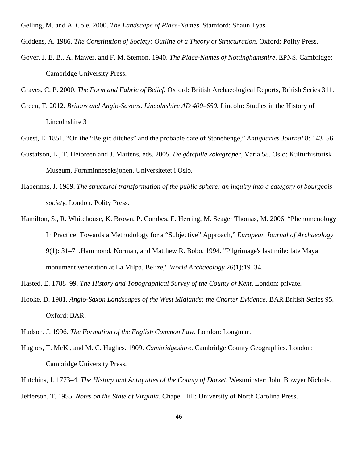Gelling, M. and A. Cole. 2000. *The Landscape of Place-Names*. Stamford: Shaun Tyas .

Giddens, A. 1986. *The Constitution of Society: Outline of a Theory of Structuration*. Oxford: Polity Press.

Gover, J. E. B., A. Mawer, and F. M. Stenton. 1940. *The Place-Names of Nottinghamshire*. EPNS. Cambridge: Cambridge University Press.

Graves, C. P. 2000. *The Form and Fabric of Belief*. Oxford: British Archaeological Reports, British Series 311.

- Green, T. 2012. *Britons and Anglo-Saxons. Lincolnshire AD 400–650.* Lincoln: Studies in the History of Lincolnshire 3
- Guest, E. 1851. "On the "Belgic ditches" and the probable date of Stonehenge," *Antiquaries Journal* 8: 143–56.
- Gustafson, L., T. Heibreen and J. Martens, eds. 2005. *De gåtefulle kokegroper*, Varia 58. Oslo: Kulturhistorisk Museum, Fornminneseksjonen. Universitetet i Oslo.
- Habermas, J. 1989. *The structural transformation of the public sphere: an inquiry into a category of bourgeois society.* London: Polity Press.
- Hamilton, S., R. Whitehouse, K. Brown, P. Combes, E. Herring, M. Seager Thomas, M. 2006. "Phenomenology In Practice: Towards a Methodology for a "Subjective" Approach," *European Journal of Archaeology* 9(1): 31–71.Hammond, Norman, and Matthew R. Bobo. 1994. "Pilgrimage's last mile: late Maya monument veneration at La Milpa, Belize," *World Archaeology* 26(1):19–34.

Hasted, E. 1788–99. *The History and Topographical Survey of the County of Kent*. London: private.

- Hooke, D. 1981. *Anglo-Saxon Landscapes of the West Midlands: the Charter Evidence*. BAR British Series 95. Oxford: BAR.
- Hudson, J. 1996. *The Formation of the English Common Law*. London: Longman.
- Hughes, T. McK., and M. C. Hughes. 1909. *Cambridgeshire*. Cambridge County Geographies. London: Cambridge University Press.
- Hutchins, J. 1773–4. *The History and Antiquities of the County of Dorset.* Westminster: John Bowyer Nichols. Jefferson, T. 1955. *Notes on the State of Virginia*. Chapel Hill: University of North Carolina Press.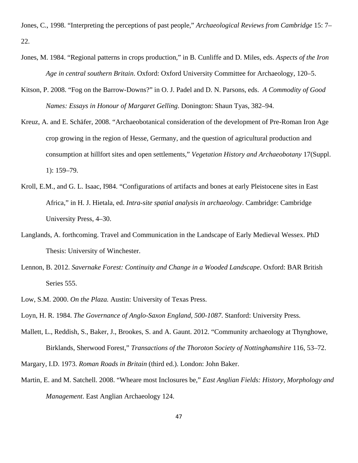Jones, C., 1998. "Interpreting the perceptions of past people," *Archaeological Reviews from Cambridge* 15: 7– 22.

- Jones, M. 1984. "Regional patterns in crops production," in B. Cunliffe and D. Miles, eds. *Aspects of the Iron Age in central southern Britain*. Oxford: Oxford University Committee for Archaeology, 120–5.
- Kitson, P. 2008. "Fog on the Barrow-Downs?" in O. J. Padel and D. N. Parsons, eds. *A Commodity of Good Names: Essays in Honour of Margaret Gelling*. Donington: Shaun Tyas, 382–94.
- Kreuz, A. and E. Schäfer, 2008. "Archaeobotanical consideration of the development of Pre-Roman Iron Age crop growing in the region of Hesse, Germany, and the question of agricultural production and consumption at hillfort sites and open settlements," *Vegetation History and Archaeobotany* 17(Suppl. 1): 159–79.
- Kroll, E.M., and G. L. Isaac, I984. "Configurations of artifacts and bones at early Pleistocene sites in East Africa," in H. J. Hietala, ed. *Intra-site spatial analysis in archaeology*. Cambridge: Cambridge University Press, 4–30.
- Langlands, A. forthcoming. Travel and Communication in the Landscape of Early Medieval Wessex. PhD Thesis: University of Winchester.
- Lennon, B. 2012. *Savernake Forest: Continuity and Change in a Wooded Landscape*. Oxford: BAR British Series 555.
- Low, S.M. 2000. *On the Plaza.* Austin: University of Texas Press.
- Loyn, H. R. 1984. *The Governance of Anglo-Saxon England, 500-1087*. Stanford: University Press.
- Mallett, L., Reddish, S., Baker, J., Brookes, S. and A. Gaunt. 2012. "Community archaeology at Thynghowe, Birklands, Sherwood Forest," *Transactions of the Thoroton Society of Nottinghamshire* 116, 53–72.
- Margary, I.D. 1973. *Roman Roads in Britain* (third ed.). London: John Baker.
- Martin, E. and M. Satchell. 2008. "Wheare most Inclosures be," *East Anglian Fields: History, Morphology and Management*. East Anglian Archaeology 124.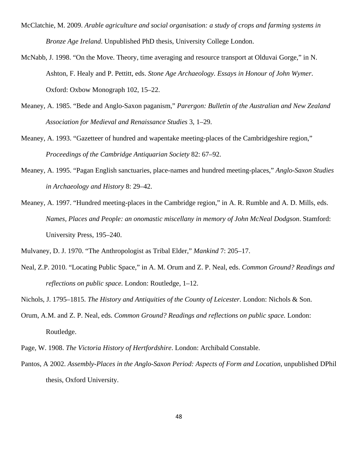- McClatchie, M. 2009. *Arable agriculture and social organisation: a study of crops and farming systems in Bronze Age Ireland*. Unpublished PhD thesis, University College London.
- McNabb, J. 1998. "On the Move. Theory, time averaging and resource transport at Olduvai Gorge," in N. Ashton, F. Healy and P. Pettitt, eds. *Stone Age Archaeology. Essays in Honour of John Wymer*. Oxford: Oxbow Monograph 102, 15–22.
- Meaney, A. 1985. "Bede and Anglo-Saxon paganism," *Parergon: Bulletin of the Australian and New Zealand Association for Medieval and Renaissance Studies* 3, 1–29.
- Meaney, A. 1993. "Gazetteer of hundred and wapentake meeting-places of the Cambridgeshire region," *Proceedings of the Cambridge Antiquarian Society* 82: 67–92.
- Meaney, A. 1995. "Pagan English sanctuaries, place-names and hundred meeting-places," *Anglo-Saxon Studies in Archaeology and History* 8: 29–42.
- Meaney, A. 1997. "Hundred meeting-places in the Cambridge region," in A. R. Rumble and A. D. Mills, eds. *Names, Places and People: an onomastic miscellany in memory of John McNeal Dodgson*. Stamford: University Press, 195–240.
- Mulvaney, D. J. 1970. "The Anthropologist as Tribal Elder," *Mankind* 7: 205–17.
- Neal, Z.P. 2010. "Locating Public Space," in A. M. Orum and Z. P. Neal, eds. *Common Ground? Readings and reflections on public space.* London: Routledge, 1–12.
- Nichols, J. 1795–1815. *The History and Antiquities of the County of Leicester.* London: Nichols & Son.
- Orum, A.M. and Z. P. Neal, eds. *Common Ground? Readings and reflections on public space.* London: Routledge.
- Page, W. 1908. *The Victoria History of Hertfordshire*. London: Archibald Constable.
- Pantos, A 2002. *Assembly-Places in the Anglo-Saxon Period: Aspects of Form and Location*, unpublished DPhil thesis, Oxford University.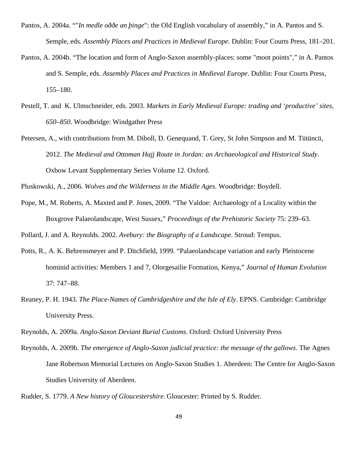- Pantos, A. 2004a. ""*In medle oððe an þinge*": the Old English vocabulary of assembly," in A. Pantos and S. Semple, eds. *Assembly Places and Practices in Medieval Europe*. Dublin: Four Courts Press, 181–201.
- Pantos, A. 2004b. "The location and form of Anglo-Saxon assembly-places: some "moot points"," in A. Pantos and S. Semple, eds. *Assembly Places and Practices in Medieval Europe*. Dublin: Four Courts Press, 155–180.
- Pestell, T. and K. Ulmschneider, eds. 2003. *Markets in Early Medieval Europe: trading and 'productive' sites, 650–850*. Woodbridge: Windgather Press
- Petersen, A., with contributions from M. Diboll, D. Genequand, T. Grey, St John Simpson and M. Tütüncü, 2012. *The Medieval and Ottoman Hajj Route in Jordan: an Archaeological and Historical Study*. Oxbow Levant Supplementary Series Volume 12. Oxford.

Pluskowski, A., 2006. *Wolves and the Wilderness in the Middle Ages*. Woodbridge: Boydell.

Pope, M., M. Roberts, A. Maxted and P. Jones, 2009. "The Valdoe: Archaeology of a Locality within the Boxgrove Palaeolandscape, West Sussex," *Proceedings of the Prehistoric Society* 75: 239–63.

Pollard, J. and A. Reynolds. 2002. *Avebury: the Biography of a Landscape*. Stroud: Tempus.

- Potts, R., A. K. Behrensmeyer and P. Ditchfield, 1999. "Palaeolandscape variation and early Pleistocene hominid activities: Members 1 and 7, Olorgesailie Formation, Kenya," *Journal of Human Evolution* 37: 747–88.
- Reaney, P. H. 1943. *The Place-Names of Cambridgeshire and the Isle of Ely*. EPNS. Cambridge: Cambridge University Press.
- Reynolds, A. 2009a. *Anglo-Saxon Deviant Burial Customs*. Oxford: Oxford University Press
- Reynolds, A. 2009b. *The emergence of Anglo-Saxon judicial practice: the message of the gallows*. The Agnes Jane Robertson Memorial Lectures on Anglo-Saxon Studies 1. Aberdeen: The Centre for Anglo-Saxon Studies University of Aberdeen.

Rudder, S. 1779. *A New history of Gloucestershire*. Gloucester: Printed by S. Rudder.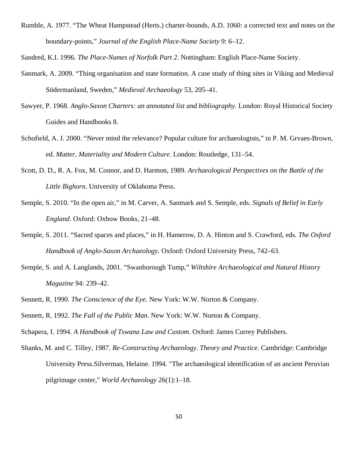Rumble, A. 1977. "The Wheat Hampstead (Herts.) charter-bounds, A.D. 1060: a corrected text and notes on the boundary-points," *Journal of the English Place-Name Society* 9: 6–12.

Sandred, K.I. 1996. *The Place-Names of Norfolk Part 2*. Nottingham: English Place-Name Society.

- Sanmark, A. 2009. "Thing organisation and state formation. A case study of thing sites in Viking and Medieval Södermanland, Sweden," *Medieval Archaeology* 53, 205–41.
- Sawyer, P. 1968*. Anglo-Saxon Charters: an annotated list and bibliography*. London: Royal Historical Society Guides and Handbooks 8.
- Schofield, A. J. 2000. "Never mind the relevance? Popular culture for archaeologists," in P. M. Grvaes-Brown, ed. *Matter, Materiality and Modern Culture*. London: Routledge, 131–54.
- Scott, D. D., R. A. Fox, M. Connor, and D. Harmon, 1989. *Archaeological Perspectives on the Battle of the Little Bighorn*. University of Oklahoma Press.
- Semple, S. 2010. "In the open air," in M. Carver, A. Sanmark and S. Semple, eds. *Signals of Belief in Early England*. Oxford: Oxbow Books, 21–48.
- Semple, S. 2011. "Sacred spaces and places," in H. Hamerow, D. A. Hinton and S. Crawford, eds. *The Oxford Handbook of Anglo-Saxon Archaeology.* Oxford: Oxford University Press, 742–63.
- Semple, S. and A. Langlands, 2001. "Swanborough Tump," *Wiltshire Archaeological and Natural History Magazine* 94: 239–42.
- Sennett, R. 1990. *The Conscience of the Eye*. New York: W.W. Norton & Company.
- Sennett, R. 1992. *The Fall of the Public Man*. New York: W.W. Norton & Company.
- Schapera, I. 1994. *A Handbook of Tswana Law and Custom*. Oxford: James Currey Publishers.
- Shanks, M. and C. Tilley, 1987. *Re-Constructing Archaeology. Theory and Practice*. Cambridge: Cambridge University Press.Silverman, Helaine. 1994. "The archaeological identification of an ancient Peruvian pilgrimage center," *World Archaeology* 26(1):1–18.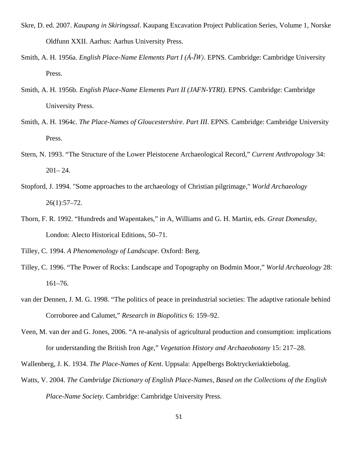- Skre, D. ed. 2007. *Kaupang in Skiringssal*. Kaupang Excavation Project Publication Series, Volume 1, Norske Oldfunn XXII. Aarhus: Aarhus University Press.
- Smith, A. H. 1956a. *English Place-Name Elements Part I (Á-ĪW)*. EPNS. Cambridge: Cambridge University Press*.*
- Smith, A. H. 1956b. *English Place-Name Elements Part II (JAFN-YTRI)*. EPNS. Cambridge: Cambridge University Press.
- Smith, A. H. 1964c. *The Place-Names of Gloucestershire. Part III*. EPNS. Cambridge: Cambridge University Press.
- Stern, N. 1993. "The Structure of the Lower Pleistocene Archaeological Record," *Current Anthropology* 34: 201– 24.
- Stopford, J. 1994. "Some approaches to the archaeology of Christian pilgrimage," *World Archaeology* 26(1):57–72.
- Thorn, F. R. 1992. "Hundreds and Wapentakes," in A, Williams and G. H. Martin, eds. *Great Domesday*, London: Alecto Historical Editions, 50–71.

Tilley, C. 1994. *A Phenomenology of Landscape*. Oxford: Berg.

- Tilley, C. 1996. "The Power of Rocks: Landscape and Topography on Bodmin Moor," *World Archaeology* 28: 161–76.
- van der Dennen, J. M. G. 1998. "The politics of peace in preindustrial societies: The adaptive rationale behind Corroboree and Calumet," *Research in Biopolitics* 6: 159–92.
- Veen, M. van der and G. Jones, 2006. "A re-analysis of agricultural production and consumption: implications for understanding the British Iron Age," *Vegetation History and Archaeobotany* 15: 217–28.

Wallenberg, J. K. 1934. *The Place-Names of Kent*. Uppsala: Appelbergs Boktryckeriaktiebolag.

Watts, V. 2004. *The Cambridge Dictionary of English Place-Names, Based on the Collections of the English Place-Name Society*. Cambridge: Cambridge University Press.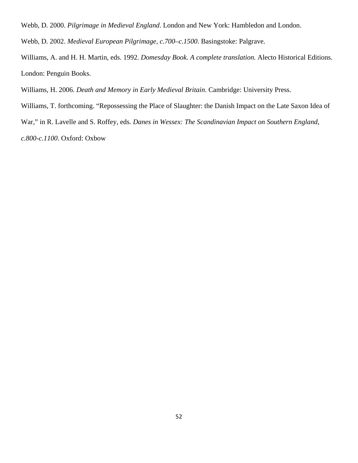Webb, D. 2000. *Pilgrimage in Medieval England*. London and New York: Hambledon and London.

Webb, D. 2002. *Medieval European Pilgrimage, c.700–c.1500*. Basingstoke: Palgrave.

Williams, A. and H. H. Martin, eds. 1992. *Domesday Book. A complete translation.* Alecto Historical Editions. London: Penguin Books.

Williams, H. 2006. *Death and Memory in Early Medieval Britain*. Cambridge: University Press.

Williams, T. forthcoming. "Repossessing the Place of Slaughter: the Danish Impact on the Late Saxon Idea of

War," in R. Lavelle and S. Roffey, eds. *Danes in Wessex: The Scandinavian Impact on Southern England,* 

*c.800-c.1100*. Oxford: Oxbow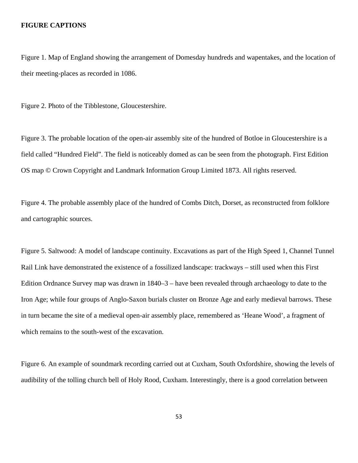#### **FIGURE CAPTIONS**

Figure 1. Map of England showing the arrangement of Domesday hundreds and wapentakes, and the location of their meeting-places as recorded in 1086.

Figure 2. Photo of the Tibblestone, Gloucestershire.

Figure 3. The probable location of the open-air assembly site of the hundred of Botloe in Gloucestershire is a field called "Hundred Field". The field is noticeably domed as can be seen from the photograph. First Edition OS map © Crown Copyright and Landmark Information Group Limited 1873. All rights reserved.

Figure 4. The probable assembly place of the hundred of Combs Ditch, Dorset, as reconstructed from folklore and cartographic sources.

Figure 5. Saltwood: A model of landscape continuity. Excavations as part of the High Speed 1, Channel Tunnel Rail Link have demonstrated the existence of a fossilized landscape: trackways – still used when this First Edition Ordnance Survey map was drawn in 1840–3 – have been revealed through archaeology to date to the Iron Age; while four groups of Anglo-Saxon burials cluster on Bronze Age and early medieval barrows. These in turn became the site of a medieval open-air assembly place, remembered as 'Heane Wood', a fragment of which remains to the south-west of the excavation.

Figure 6. An example of soundmark recording carried out at Cuxham, South Oxfordshire, showing the levels of audibility of the tolling church bell of Holy Rood, Cuxham. Interestingly, there is a good correlation between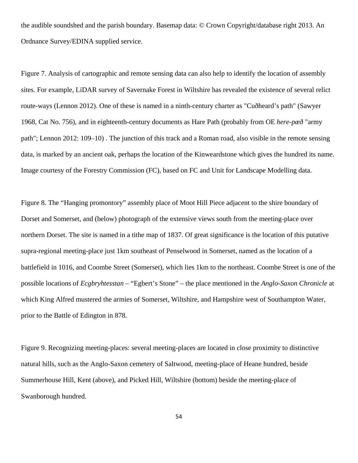the audible soundshed and the parish boundary. Basemap data: © Crown Copyright/database right 2013. An Ordnance Survey/EDINA supplied service.

Figure 7. Analysis of cartographic and remote sensing data can also help to identify the location of assembly sites. For example, LiDAR survey of Savernake Forest in Wiltshire has revealed the existence of several relict route-ways (Lennon 2012). One of these is named in a ninth-century charter as "Cuðheard's path" (Sawyer 1968, Cat No. 756), and in eighteenth-century documents as Hare Path (probably from OE *here-pæð* "army path"; Lennon 2012: 109–10) . The junction of this track and a Roman road, also visible in the remote sensing data, is marked by an ancient oak, perhaps the location of the Kinweardstone which gives the hundred its name. Image courtesy of the Forestry Commission (FC), based on FC and Unit for Landscape Modelling data.

Figure 8. The "Hanging promontory" assembly place of Moot Hill Piece adjacent to the shire boundary of Dorset and Somerset, and (below) photograph of the extensive views south from the meeting-place over northern Dorset. The site is named in a tithe map of 1837. Of great significance is the location of this putative supra-regional meeting-place just 1km southeast of Penselwood in Somerset, named as the location of a battlefield in 1016, and Coombe Street (Somerset), which lies 1km to the northeast. Coombe Street is one of the possible locations of *Ecgbryhtesstan –* "Egbert's Stone" – the place mentioned in the *Anglo-Saxon Chronicle* at which King Alfred mustered the armies of Somerset, Wiltshire, and Hampshire west of Southampton Water, prior to the Battle of Edington in 878.

Figure 9. Recognizing meeting-places: several meeting-places are located in close proximity to distinctive natural hills, such as the Anglo-Saxon cemetery of Saltwood, meeting-place of Heane hundred, beside Summerhouse Hill, Kent (above), and Picked Hill, Wiltshire (bottom) beside the meeting-place of Swanborough hundred.